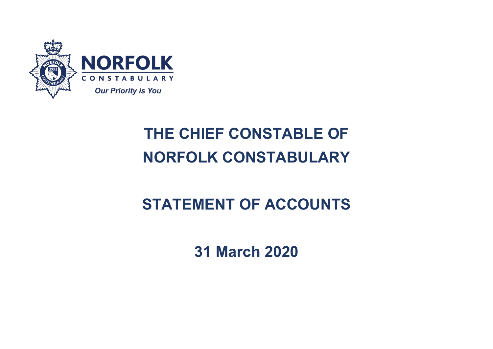

# **THE CHIEF CONSTABLE OF NORFOLK CONSTABULARY**

# **STATEMENT OF ACCOUNTS**

**31 March 2020**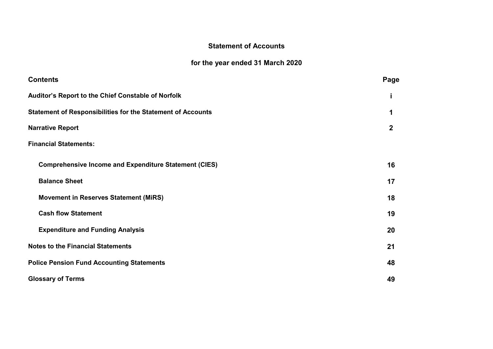# **Statement of Accounts**

# **for the year ended 31 March 2020**

| <b>Contents</b>                                                    | Page |  |  |
|--------------------------------------------------------------------|------|--|--|
| Auditor's Report to the Chief Constable of Norfolk                 | İ    |  |  |
| <b>Statement of Responsibilities for the Statement of Accounts</b> | 1    |  |  |
| <b>Narrative Report</b>                                            |      |  |  |
| <b>Financial Statements:</b>                                       |      |  |  |
| <b>Comprehensive Income and Expenditure Statement (CIES)</b>       | 16   |  |  |
| <b>Balance Sheet</b>                                               | 17   |  |  |
| Movement in Reserves Statement (MiRS)                              | 18   |  |  |
| <b>Cash flow Statement</b>                                         | 19   |  |  |
| <b>Expenditure and Funding Analysis</b>                            | 20   |  |  |
| <b>Notes to the Financial Statements</b>                           | 21   |  |  |
| <b>Police Pension Fund Accounting Statements</b>                   | 48   |  |  |
| <b>Glossary of Terms</b>                                           | 49   |  |  |
|                                                                    |      |  |  |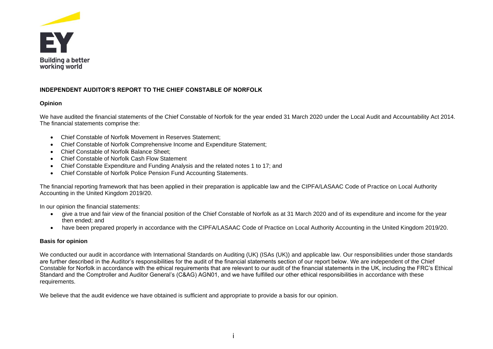

# **INDEPENDENT AUDITOR'S REPORT TO THE CHIEF CONSTABLE OF NORFOLK**

# **Opinion**

We have audited the financial statements of the Chief Constable of Norfolk for the year ended 31 March 2020 under the Local Audit and Accountability Act 2014. The financial statements comprise the:

- Chief Constable of Norfolk Movement in Reserves Statement;
- Chief Constable of Norfolk Comprehensive Income and Expenditure Statement;
- Chief Constable of Norfolk Balance Sheet;
- Chief Constable of Norfolk Cash Flow Statement
- Chief Constable Expenditure and Funding Analysis and the related notes 1 to 17; and
- Chief Constable of Norfolk Police Pension Fund Accounting Statements.

The financial reporting framework that has been applied in their preparation is applicable law and the CIPFA/LASAAC Code of Practice on Local Authority Accounting in the United Kingdom 2019/20.

In our opinion the financial statements:

- give a true and fair view of the financial position of the Chief Constable of Norfolk as at 31 March 2020 and of its expenditure and income for the year then ended; and
- have been prepared properly in accordance with the CIPFA/LASAAC Code of Practice on Local Authority Accounting in the United Kingdom 2019/20.

# **Basis for opinion**

We conducted our audit in accordance with International Standards on Auditing (UK) (ISAs (UK)) and applicable law. Our responsibilities under those standards are further described in the Auditor's responsibilities for the audit of the financial statements section of our report below. We are independent of the Chief Constable for Norfolk in accordance with the ethical requirements that are relevant to our audit of the financial statements in the UK, including the FRC's Ethical Standard and the Comptroller and Auditor General's (C&AG) AGN01, and we have fulfilled our other ethical responsibilities in accordance with these requirements.

We believe that the audit evidence we have obtained is sufficient and appropriate to provide a basis for our opinion.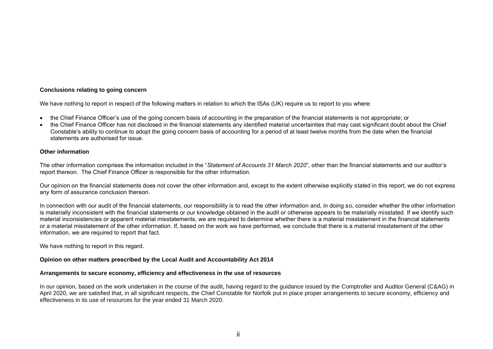## **Conclusions relating to going concern**

We have nothing to report in respect of the following matters in relation to which the ISAs (UK) require us to report to you where:

- the Chief Finance Officer's use of the going concern basis of accounting in the preparation of the financial statements is not appropriate; or
- the Chief Finance Officer has not disclosed in the financial statements any identified material uncertainties that may cast significant doubt about the Chief Constable's ability to continue to adopt the going concern basis of accounting for a period of at least twelve months from the date when the financial statements are authorised for issue.

# **Other information**

The other information comprises the information included in the "*Statement of Accounts 31 March 2020*", other than the financial statements and our auditor's report thereon. The Chief Finance Officer is responsible for the other information.

Our opinion on the financial statements does not cover the other information and, except to the extent otherwise explicitly stated in this report, we do not express any form of assurance conclusion thereon.

In connection with our audit of the financial statements, our responsibility is to read the other information and, in doing so, consider whether the other information is materially inconsistent with the financial statements or our knowledge obtained in the audit or otherwise appears to be materially misstated. If we identify such material inconsistencies or apparent material misstatements, we are required to determine whether there is a material misstatement in the financial statements or a material misstatement of the other information. If, based on the work we have performed, we conclude that there is a material misstatement of the other information, we are required to report that fact.

We have nothing to report in this regard.

## **Opinion on other matters prescribed by the Local Audit and Accountability Act 2014**

## **Arrangements to secure economy, efficiency and effectiveness in the use of resources**

In our opinion, based on the work undertaken in the course of the audit, having regard to the guidance issued by the Comptroller and Auditor General (C&AG) in April 2020, we are satisfied that, in all significant respects, the Chief Constable for Norfolk put in place proper arrangements to secure economy, efficiency and effectiveness in its use of resources for the year ended 31 March 2020.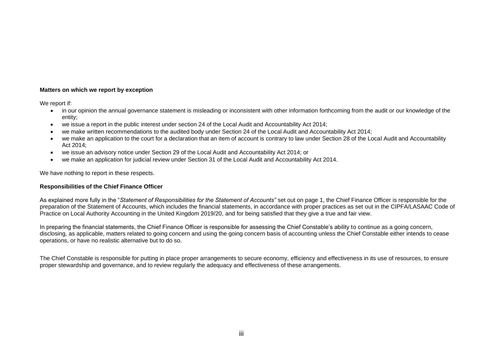# **Matters on which we report by exception**

We report if:

- in our opinion the annual governance statement is misleading or inconsistent with other information forthcoming from the audit or our knowledge of the entity;
- we issue a report in the public interest under section 24 of the Local Audit and Accountability Act 2014;
- we make written recommendations to the audited body under Section 24 of the Local Audit and Accountability Act 2014;
- we make an application to the court for a declaration that an item of account is contrary to law under Section 28 of the Local Audit and Accountability Act 2014;
- we issue an advisory notice under Section 29 of the Local Audit and Accountability Act 2014; or
- we make an application for judicial review under Section 31 of the Local Audit and Accountability Act 2014.

We have nothing to report in these respects.

# **Responsibilities of the Chief Finance Officer**

As explained more fully in the "*Statement of Responsibilities for the Statement of Accounts"* set out on page 1, the Chief Finance Officer is responsible for the preparation of the Statement of Accounts, which includes the financial statements, in accordance with proper practices as set out in the CIPFA/LASAAC Code of Practice on Local Authority Accounting in the United Kingdom 2019/20, and for being satisfied that they give a true and fair view.

In preparing the financial statements, the Chief Finance Officer is responsible for assessing the Chief Constable's ability to continue as a going concern, disclosing, as applicable, matters related to going concern and using the going concern basis of accounting unless the Chief Constable either intends to cease operations, or have no realistic alternative but to do so.

The Chief Constable is responsible for putting in place proper arrangements to secure economy, efficiency and effectiveness in its use of resources, to ensure proper stewardship and governance, and to review regularly the adequacy and effectiveness of these arrangements.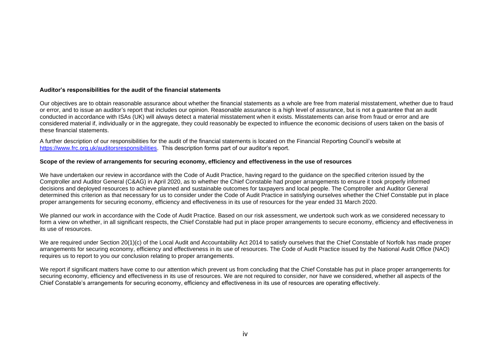## **Auditor's responsibilities for the audit of the financial statements**

Our objectives are to obtain reasonable assurance about whether the financial statements as a whole are free from material misstatement, whether due to fraud or error, and to issue an auditor's report that includes our opinion. Reasonable assurance is a high level of assurance, but is not a guarantee that an audit conducted in accordance with ISAs (UK) will always detect a material misstatement when it exists. Misstatements can arise from fraud or error and are considered material if, individually or in the aggregate, they could reasonably be expected to influence the economic decisions of users taken on the basis of these financial statements.

A further description of our responsibilities for the audit of the financial statements is located on the Financial Reporting Council's website at [https://www.frc.org.uk/auditorsresponsibilities.](https://www.frc.org.uk/auditorsresponsibilities) This description forms part of our auditor's report.

#### **Scope of the review of arrangements for securing economy, efficiency and effectiveness in the use of resources**

We have undertaken our review in accordance with the Code of Audit Practice, having regard to the guidance on the specified criterion issued by the Comptroller and Auditor General (C&AG) in April 2020, as to whether the Chief Constable had proper arrangements to ensure it took properly informed decisions and deployed resources to achieve planned and sustainable outcomes for taxpayers and local people. The Comptroller and Auditor General determined this criterion as that necessary for us to consider under the Code of Audit Practice in satisfying ourselves whether the Chief Constable put in place proper arrangements for securing economy, efficiency and effectiveness in its use of resources for the year ended 31 March 2020.

We planned our work in accordance with the Code of Audit Practice. Based on our risk assessment, we undertook such work as we considered necessary to form a view on whether, in all significant respects, the Chief Constable had put in place proper arrangements to secure economy, efficiency and effectiveness in its use of resources.

We are required under Section 20(1)(c) of the Local Audit and Accountability Act 2014 to satisfy ourselves that the Chief Constable of Norfolk has made proper arrangements for securing economy, efficiency and effectiveness in its use of resources. The Code of Audit Practice issued by the National Audit Office (NAO) requires us to report to you our conclusion relating to proper arrangements.

We report if significant matters have come to our attention which prevent us from concluding that the Chief Constable has put in place proper arrangements for securing economy, efficiency and effectiveness in its use of resources. We are not required to consider, nor have we considered, whether all aspects of the Chief Constable's arrangements for securing economy, efficiency and effectiveness in its use of resources are operating effectively.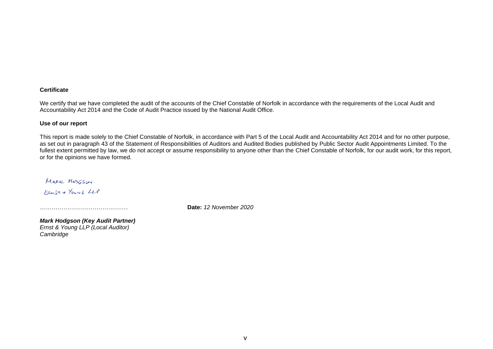## **Certificate**

We certify that we have completed the audit of the accounts of the Chief Constable of Norfolk in accordance with the requirements of the Local Audit and Accountability Act 2014 and the Code of Audit Practice issued by the National Audit Office.

## **Use of our report**

This report is made solely to the Chief Constable of Norfolk, in accordance with Part 5 of the Local Audit and Accountability Act 2014 and for no other purpose, as set out in paragraph 43 of the Statement of Responsibilities of Auditors and Audited Bodies published by Public Sector Audit Appointments Limited. To the fullest extent permitted by law, we do not accept or assume responsibility to anyone other than the Chief Constable of Norfolk, for our audit work, for this report, or for the opinions we have formed.

MARK MODESON FRUST & YOUNG LLP

*………………………………………* **Date:** *12 November 2020*

*Mark Hodgson (Key Audit Partner) Ernst & Young LLP (Local Auditor) Cambridge*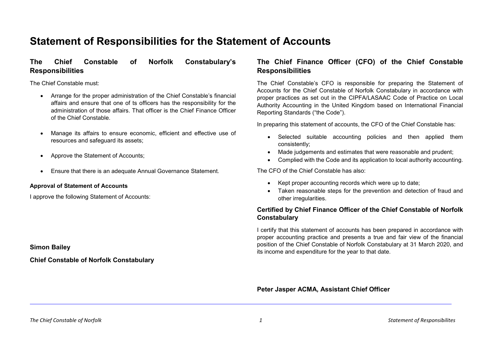# **Statement of Responsibilities for the Statement of Accounts**

# **The Chief Constable of Norfolk Constabulary's Responsibilities**

The Chief Constable must:

- Arrange for the proper administration of the Chief Constable's financial affairs and ensure that one of ts officers has the responsibility for the administration of those affairs. That officer is the Chief Finance Officer of the Chief Constable.
- Manage its affairs to ensure economic, efficient and effective use of resources and safeguard its assets;
- Approve the Statement of Accounts;
- Ensure that there is an adequate Annual Governance Statement.

## **Approval of Statement of Accounts**

I approve the following Statement of Accounts:

**Simon Bailey**

**Chief Constable of Norfolk Constabulary**

# **The Chief Finance Officer (CFO) of the Chief Constable Responsibilities**

The Chief Constable's CFO is responsible for preparing the Statement of Accounts for the Chief Constable of Norfolk Constabulary in accordance with proper practices as set out in the CIPFA/LASAAC Code of Practice on Local Authority Accounting in the United Kingdom based on International Financial Reporting Standards ("the Code").

In preparing this statement of accounts, the CFO of the Chief Constable has:

- Selected suitable accounting policies and then applied them consistently;
- Made judgements and estimates that were reasonable and prudent;
- Complied with the Code and its application to local authority accounting.

The CFO of the Chief Constable has also:

- Kept proper accounting records which were up to date;
- Taken reasonable steps for the prevention and detection of fraud and other irregularities.

# **Certified by Chief Finance Officer of the Chief Constable of Norfolk Constabulary**

I certify that this statement of accounts has been prepared in accordance with proper accounting practice and presents a true and fair view of the financial position of the Chief Constable of Norfolk Constabulary at 31 March 2020, and its income and expenditure for the year to that date.

**Peter Jasper ACMA, Assistant Chief Officer**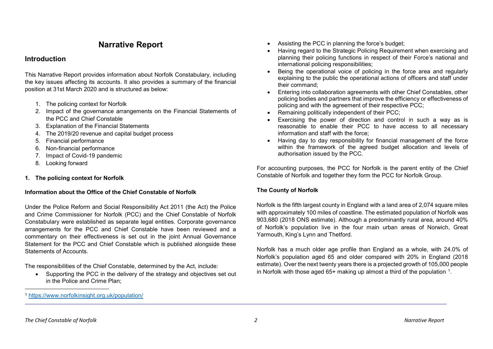# **Narrative Report**

# **Introduction**

This Narrative Report provides information about Norfolk Constabulary, including the key issues affecting its accounts. It also provides a summary of the financial position at 31st March 2020 and is structured as below:

- 1. The policing context for Norfolk
- 2. Impact of the governance arrangements on the Financial Statements of the PCC and Chief Constable
- 3. Explanation of the Financial Statements
- 4. The 2019/20 revenue and capital budget process
- 5. Financial performance
- 6. Non-financial performance
- 7. Impact of Covid-19 pandemic
- 8. Looking forward

# **1. The policing context for Norfolk**

# **Information about the Office of the Chief Constable of Norfolk**

Under the Police Reform and Social Responsibility Act 2011 (the Act) the Police and Crime Commissioner for Norfolk (PCC) and the Chief Constable of Norfolk Constabulary were established as separate legal entities. Corporate governance arrangements for the PCC and Chief Constable have been reviewed and a commentary on their effectiveness is set out in the joint Annual Governance Statement for the PCC and Chief Constable which is published alongside these Statements of Accounts.

The responsibilities of the Chief Constable, determined by the Act, include:

• Supporting the PCC in the delivery of the strategy and objectives set out in the Police and Crime Plan;

- <span id="page-8-0"></span>Assisting the PCC in planning the force's budget;
- Having regard to the Strategic Policing Requirement when exercising and planning their policing functions in respect of their Force's national and international policing responsibilities;
- Being the operational voice of policing in the force area and regularly explaining to the public the operational actions of officers and staff under their command;
- Entering into collaboration agreements with other Chief Constables, other policing bodies and partners that improve the efficiency or effectiveness of policing and with the agreement of their respective PCC;
- Remaining politically independent of their PCC;
- Exercising the power of direction and control in such a way as is reasonable to enable their PCC to have access to all necessary information and staff with the force;
- Having day to day responsibility for financial management of the force within the framework of the agreed budget allocation and levels of authorisation issued by the PCC.

For accounting purposes, the PCC for Norfolk is the parent entity of the Chief Constable of Norfolk and together they form the PCC for Norfolk Group.

# **The County of Norfolk**

Norfolk is the fifth largest county in England with a land area of 2,074 square miles with approximately 100 miles of coastline. The estimated population of Norfolk was 903,680 (2018 ONS estimate). Although a predominantly rural area, around 40% of Norfolk's population live in the four main urban areas of Norwich, Great Yarmouth, King's Lynn and Thetford.

Norfolk has a much older age profile than England as a whole, with 24.0% of Norfolk's population aged 65 and older compared with 20% in England (2018 estimate). Over the next twenty years there is a projected growth of 105,000 people in Norfolk with those aged  $65+$  making up almost a third of the population  $1$ .

 $\overline{a}$ 

<sup>1</sup> <https://www.norfolkinsight.org.uk/population/>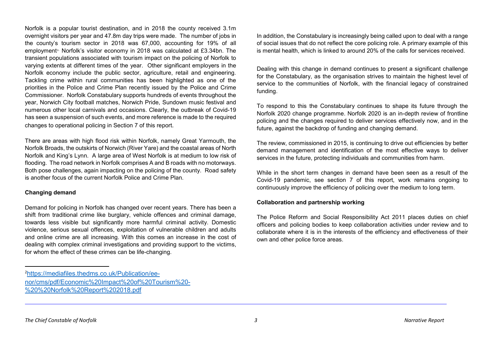Norfolk is a popular tourist destination, and in 2018 the county received 3.1m overnight visitors per year and 47.8m day trips were made. The number of jobs in the county's tourism sector in 2018 was 67,000, accounting for 19% of all employment<sup>2</sup> Norfolk's visitor economy in 2018 was calculated at £3.34bn. The transient populations associated with tourism impact on the policing of Norfolk to varying extents at different times of the year. Other significant employers in the Norfolk economy include the public sector, agriculture, retail and engineering. Tackling crime within rural communities has been highlighted as one of the priorities in the Police and Crime Plan recently issued by the Police and Crime Commissioner. Norfolk Constabulary supports hundreds of events throughout the year, Norwich City football matches, Norwich Pride, Sundown music festival and numerous other local carnivals and occasions. Clearly, the outbreak of Covid-19 has seen a suspension of such events, and more reference is made to the required changes to operational policing in Section 7 of this report.

There are areas with high flood risk within Norfolk, namely Great Yarmouth, the Norfolk Broads, the outskirts of Norwich (River Yare) and the coastal areas of North Norfolk and King's Lynn. A large area of West Norfolk is at medium to low risk of flooding. The road network in Norfolk comprises A and B roads with no motorways. Both pose challenges, again impacting on the policing of the county. Road safety is another focus of the current Norfolk Police and Crime Plan.

## **Changing demand**

Demand for policing in Norfolk has changed over recent years. There has been a shift from traditional crime like burglary, vehicle offences and criminal damage, towards less visible but significantly more harmful criminal activity. Domestic violence, serious sexual offences, exploitation of vulnerable children and adults and online crime are all increasing. With this comes an increase in the cost of dealing with complex criminal investigations and providing support to the victims, for whom the effect of these crimes can be life-changing.

<span id="page-9-0"></span>In addition, the Constabulary is increasingly being called upon to deal with a range of social issues that do not reflect the core policing role. A primary example of this is mental health, which is linked to around 20% of the calls for services received.

Dealing with this change in demand continues to present a significant challenge for the Constabulary, as the organisation strives to maintain the highest level of service to the communities of Norfolk, with the financial legacy of constrained funding.

To respond to this the Constabulary continues to shape its future through the Norfolk 2020 change programme. Norfolk 2020 is an in-depth review of frontline policing and the changes required to deliver services effectively now, and in the future, against the backdrop of funding and changing demand.

The review, commissioned in 2015, is continuing to drive out efficiencies by better demand management and identification of the most effective ways to deliver services in the future, protecting individuals and communities from harm.

While in the short term changes in demand have been seen as a result of the Covid-19 pandemic, see section 7 of this report, work remains ongoing to continuously improve the efficiency of policing over the medium to long term.

## **Collaboration and partnership working**

The Police Reform and Social Responsibility Act 2011 places duties on chief officers and policing bodies to keep collaboration activities under review and to collaborate where it is in the interests of the efficiency and effectiveness of their own and other police force areas.

 $\overline{2}$ [https://mediafiles.thedms.co.uk/Publication/ee](https://mediafiles.thedms.co.uk/Publication/ee-nor/cms/pdf/Economic%20Impact%20of%20Tourism%20-%20%20Norfolk%20Report%202018.pdf)[nor/cms/pdf/Economic%20Impact%20of%20Tourism%20-](https://mediafiles.thedms.co.uk/Publication/ee-nor/cms/pdf/Economic%20Impact%20of%20Tourism%20-%20%20Norfolk%20Report%202018.pdf) [%20%20Norfolk%20Report%202018.pdf](https://mediafiles.thedms.co.uk/Publication/ee-nor/cms/pdf/Economic%20Impact%20of%20Tourism%20-%20%20Norfolk%20Report%202018.pdf)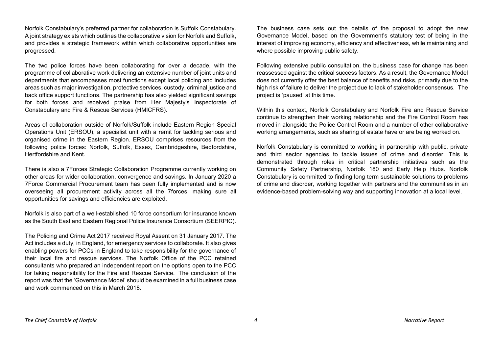Norfolk Constabulary's preferred partner for collaboration is Suffolk Constabulary. A joint strategy exists which outlines the collaborative vision for Norfolk and Suffolk, and provides a strategic framework within which collaborative opportunities are progressed.

The two police forces have been collaborating for over a decade, with the programme of collaborative work delivering an extensive number of joint units and departments that encompasses most functions except local policing and includes areas such as major investigation, protective services, custody, criminal justice and back office support functions. The partnership has also yielded significant savings for both forces and received praise from Her Majesty's Inspectorate of Constabulary and Fire & Rescue Services (HMICFRS).

Areas of collaboration outside of Norfolk/Suffolk include Eastern Region Special Operations Unit (ERSOU), a specialist unit with a remit for tackling serious and organised crime in the Eastern Region. ERSOU comprises resources from the following police forces: Norfolk, Suffolk, Essex, Cambridgeshire, Bedfordshire, Hertfordshire and Kent.

There is also a 7Forces Strategic Collaboration Programme currently working on other areas for wider collaboration, convergence and savings. In January 2020 a 7Force Commercial Procurement team has been fully implemented and is now overseeing all procurement activity across all the 7forces, making sure all opportunities for savings and efficiencies are exploited.

Norfolk is also part of a well-established 10 force consortium for insurance known as the South East and Eastern Regional Police Insurance Consortium (SEERPIC).

The Policing and Crime Act 2017 received Royal Assent on 31 January 2017. The Act includes a duty, in England, for emergency services to collaborate. It also gives enabling powers for PCCs in England to take responsibility for the governance of their local fire and rescue services. The Norfolk Office of the PCC retained consultants who prepared an independent report on the options open to the PCC for taking responsibility for the Fire and Rescue Service. The conclusion of the report was that the 'Governance Model' should be examined in a full business case and work commenced on this in March 2018.

The business case sets out the details of the proposal to adopt the new Governance Model, based on the Government's statutory test of being in the interest of improving economy, efficiency and effectiveness, while maintaining and where possible improving public safety.

Following extensive public consultation, the business case for change has been reassessed against the critical success factors. As a result, the Governance Model does not currently offer the best balance of benefits and risks, primarily due to the high risk of failure to deliver the project due to lack of stakeholder consensus. The project is 'paused' at this time.

Within this context, Norfolk Constabulary and Norfolk Fire and Rescue Service continue to strengthen their working relationship and the Fire Control Room has moved in alongside the Police Control Room and a number of other collaborative working arrangements, such as sharing of estate have or are being worked on.

Norfolk Constabulary is committed to working in partnership with public, private and third sector agencies to tackle issues of crime and disorder. This is demonstrated through roles in critical partnership initiatives such as the Community Safety Partnership, Norfolk 180 and Early Help Hubs. Norfolk Constabulary is committed to finding long term sustainable solutions to problems of crime and disorder, working together with partners and the communities in an evidence-based problem-solving way and supporting innovation at a local level.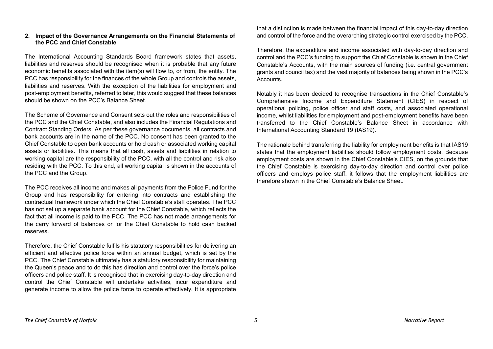## **2. Impact of the Governance Arrangements on the Financial Statements of the PCC and Chief Constable**

The International Accounting Standards Board framework states that assets, liabilities and reserves should be recognised when it is probable that any future economic benefits associated with the item(s) will flow to, or from, the entity. The PCC has responsibility for the finances of the whole Group and controls the assets, liabilities and reserves. With the exception of the liabilities for employment and post-employment benefits, referred to later, this would suggest that these balances should be shown on the PCC's Balance Sheet.

The Scheme of Governance and Consent sets out the roles and responsibilities of the PCC and the Chief Constable, and also includes the Financial Regulations and Contract Standing Orders. As per these governance documents, all contracts and bank accounts are in the name of the PCC. No consent has been granted to the Chief Constable to open bank accounts or hold cash or associated working capital assets or liabilities. This means that all cash, assets and liabilities in relation to working capital are the responsibility of the PCC, with all the control and risk also residing with the PCC. To this end, all working capital is shown in the accounts of the PCC and the Group.

The PCC receives all income and makes all payments from the Police Fund for the Group and has responsibility for entering into contracts and establishing the contractual framework under which the Chief Constable's staff operates. The PCC has not set up a separate bank account for the Chief Constable, which reflects the fact that all income is paid to the PCC. The PCC has not made arrangements for the carry forward of balances or for the Chief Constable to hold cash backed reserves.

Therefore, the Chief Constable fulfils his statutory responsibilities for delivering an efficient and effective police force within an annual budget, which is set by the PCC. The Chief Constable ultimately has a statutory responsibility for maintaining the Queen's peace and to do this has direction and control over the force's police officers and police staff. It is recognised that in exercising day-to-day direction and control the Chief Constable will undertake activities, incur expenditure and generate income to allow the police force to operate effectively. It is appropriate that a distinction is made between the financial impact of this day-to-day direction and control of the force and the overarching strategic control exercised by the PCC.

Therefore, the expenditure and income associated with day-to-day direction and control and the PCC's funding to support the Chief Constable is shown in the Chief Constable's Accounts, with the main sources of funding (i.e. central government grants and council tax) and the vast majority of balances being shown in the PCC's **Accounts** 

Notably it has been decided to recognise transactions in the Chief Constable's Comprehensive Income and Expenditure Statement (CIES) in respect of operational policing, police officer and staff costs, and associated operational income, whilst liabilities for employment and post-employment benefits have been transferred to the Chief Constable's Balance Sheet in accordance with International Accounting Standard 19 (IAS19).

The rationale behind transferring the liability for employment benefits is that IAS19 states that the employment liabilities should follow employment costs. Because employment costs are shown in the Chief Constable's CIES, on the grounds that the Chief Constable is exercising day-to-day direction and control over police officers and employs police staff, it follows that the employment liabilities are therefore shown in the Chief Constable's Balance Sheet.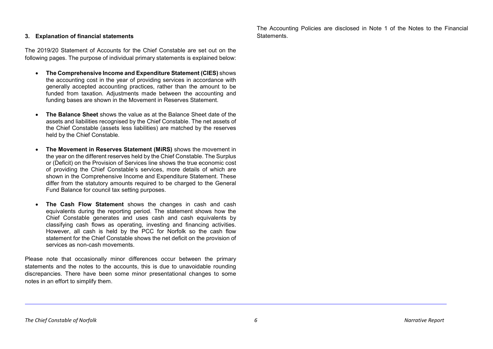## **3. Explanation of financial statements**

The 2019/20 Statement of Accounts for the Chief Constable are set out on the following pages. The purpose of individual primary statements is explained below:

- **The Comprehensive Income and Expenditure Statement (CIES)** shows the accounting cost in the year of providing services in accordance with generally accepted accounting practices, rather than the amount to be funded from taxation. Adjustments made between the accounting and funding bases are shown in the Movement in Reserves Statement.
- **The Balance Sheet** shows the value as at the Balance Sheet date of the assets and liabilities recognised by the Chief Constable. The net assets of the Chief Constable (assets less liabilities) are matched by the reserves held by the Chief Constable.
- **The Movement in Reserves Statement (MiRS)** shows the movement in the year on the different reserves held by the Chief Constable. The Surplus or (Deficit) on the Provision of Services line shows the true economic cost of providing the Chief Constable's services, more details of which are shown in the Comprehensive Income and Expenditure Statement. These differ from the statutory amounts required to be charged to the General Fund Balance for council tax setting purposes.
- **The Cash Flow Statement** shows the changes in cash and cash equivalents during the reporting period. The statement shows how the Chief Constable generates and uses cash and cash equivalents by classifying cash flows as operating, investing and financing activities. However, all cash is held by the PCC for Norfolk so the cash flow statement for the Chief Constable shows the net deficit on the provision of services as non-cash movements.

Please note that occasionally minor differences occur between the primary statements and the notes to the accounts, this is due to unavoidable rounding discrepancies. There have been some minor presentational changes to some notes in an effort to simplify them.

The Accounting Policies are disclosed in Note 1 of the Notes to the Financial **Statements**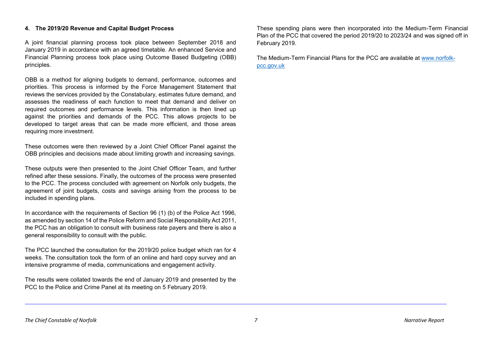#### **4. The 2019/20 Revenue and Capital Budget Process**

A joint financial planning process took place between September 2018 and January 2019 in accordance with an agreed timetable. An enhanced Service and Financial Planning process took place using Outcome Based Budgeting (OBB) principles.

OBB is a method for aligning budgets to demand, performance, outcomes and priorities. This process is informed by the Force Management Statement that reviews the services provided by the Constabulary, estimates future demand, and assesses the readiness of each function to meet that demand and deliver on required outcomes and performance levels. This information is then lined up against the priorities and demands of the PCC. This allows projects to be developed to target areas that can be made more efficient, and those areas requiring more investment.

These outcomes were then reviewed by a Joint Chief Officer Panel against the OBB principles and decisions made about limiting growth and increasing savings.

These outputs were then presented to the Joint Chief Officer Team, and further refined after these sessions. Finally, the outcomes of the process were presented to the PCC. The process concluded with agreement on Norfolk only budgets, the agreement of joint budgets, costs and savings arising from the process to be included in spending plans.

In accordance with the requirements of Section 96 (1) (b) of the Police Act 1996, as amended by section 14 of the Police Reform and Social Responsibility Act 2011, the PCC has an obligation to consult with business rate payers and there is also a general responsibility to consult with the public.

The PCC launched the consultation for the 2019/20 police budget which ran for 4 weeks. The consultation took the form of an online and hard copy survey and an intensive programme of media, communications and engagement activity.

The results were collated towards the end of January 2019 and presented by the PCC to the Police and Crime Panel at its meeting on 5 February 2019.

These spending plans were then incorporated into the Medium-Term Financial Plan of the PCC that covered the period 2019/20 to 2023/24 and was signed off in February 2019.

The Medium-Term Financial Plans for the PCC are available at [www.norfolk](http://www.norfolk-pcc.gov.uk/)[pcc.gov.uk](http://www.norfolk-pcc.gov.uk/)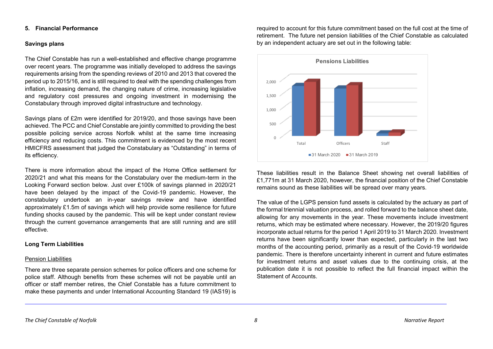#### **5. Financial Performance**

# **Savings plans**

The Chief Constable has run a well-established and effective change programme over recent years. The programme was initially developed to address the savings requirements arising from the spending reviews of 2010 and 2013 that covered the period up to 2015/16, and is still required to deal with the spending challenges from inflation, increasing demand, the changing nature of crime, increasing legislative and regulatory cost pressures and ongoing investment in modernising the Constabulary through improved digital infrastructure and technology.

Savings plans of £2m were identified for 2019/20, and those savings have been achieved. The PCC and Chief Constable are jointly committed to providing the best possible policing service across Norfolk whilst at the same time increasing efficiency and reducing costs. This commitment is evidenced by the most recent HMICFRS assessment that judged the Constabulary as "Outstanding" in terms of its efficiency.

There is more information about the impact of the Home Office settlement for 2020/21 and what this means for the Constabulary over the medium-term in the Looking Forward section below. Just over £100k of savings planned in 2020/21 have been delayed by the impact of the Covid-19 pandemic. However, the constabulary undertook an in-year savings review and have identified approximately £1.5m of savings which will help provide some resilience for future funding shocks caused by the pandemic. This will be kept under constant review through the current governance arrangements that are still running and are still effective.

## **Long Term Liabilities**

## Pension Liabilities

There are three separate pension schemes for police officers and one scheme for police staff. Although benefits from these schemes will not be payable until an officer or staff member retires, the Chief Constable has a future commitment to make these payments and under International Accounting Standard 19 (IAS19) is

required to account for this future commitment based on the full cost at the time of retirement. The future net pension liabilities of the Chief Constable as calculated by an independent actuary are set out in the following table:



These liabilities result in the Balance Sheet showing net overall liabilities of £1,771m at 31 March 2020, however, the financial position of the Chief Constable remains sound as these liabilities will be spread over many years.

The value of the LGPS pension fund assets is calculated by the actuary as part of the formal triennial valuation process, and rolled forward to the balance sheet date, allowing for any movements in the year. These movements include investment returns, which may be estimated where necessary. However, the 2019/20 figures incorporate actual returns for the period 1 April 2019 to 31 March 2020. Investment returns have been significantly lower than expected, particularly in the last two months of the accounting period, primarily as a result of the Covid-19 worldwide pandemic. There is therefore uncertainty inherent in current and future estimates for investment returns and asset values due to the continuing crisis, at the publication date it is not possible to reflect the full financial impact within the Statement of Accounts.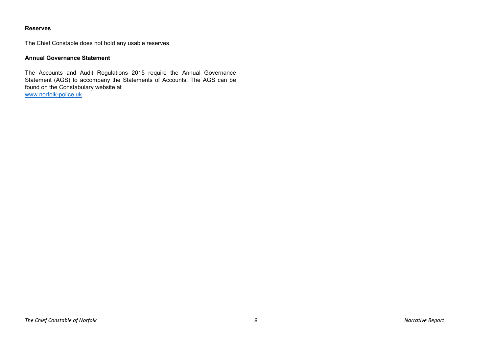# **Reserves**

The Chief Constable does not hold any usable reserves.

# **Annual Governance Statement**

The Accounts and Audit Regulations 2015 require the Annual Governance Statement (AGS) to accompany the Statements of Accounts. The AGS can be found on the Constabulary website at [www.norfolk-police.uk](http://www.norfolk-police.uk/)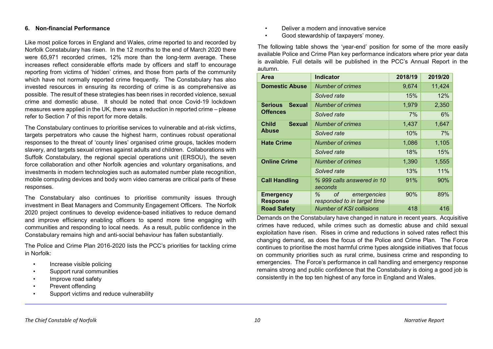#### **6. Non-financial Performance**

Like most police forces in England and Wales, crime reported to and recorded by Norfolk Constabulary has risen. In the 12 months to the end of March 2020 there were 65,971 recorded crimes, 12% more than the long-term average. These increases reflect considerable efforts made by officers and staff to encourage reporting from victims of 'hidden' crimes, and those from parts of the community which have not normally reported crime frequently. The Constabulary has also invested resources in ensuring its recording of crime is as comprehensive as possible. The result of these strategies has been rises in recorded violence, sexual crime and domestic abuse. It should be noted that once Covid-19 lockdown measures were applied in the UK, there was a reduction in reported crime – please refer to Section 7 of this report for more details.

The Constabulary continues to prioritise services to vulnerable and at-risk victims, targets perpetrators who cause the highest harm, continues robust operational responses to the threat of 'county lines' organised crime groups, tackles modern slavery, and targets sexual crimes against adults and children. Collaborations with Suffolk Constabulary, the regional special operations unit (ERSOU), the seven force collaboration and other Norfolk agencies and voluntary organisations, and investments in modern technologies such as automated number plate recognition, mobile computing devices and body worn video cameras are critical parts of these responses.

The Constabulary also continues to prioritise community issues through investment in Beat Managers and Community Engagement Officers. The Norfolk 2020 project continues to develop evidence-based initiatives to reduce demand and improve efficiency enabling officers to spend more time engaging with communities and responding to local needs. As a result, public confidence in the Constabulary remains high and anti-social behaviour has fallen substantially.

The Police and Crime Plan 2016-2020 lists the PCC's priorities for tackling crime in Norfolk:

- Increase visible policing
- Support rural communities
- Improve road safety
- Prevent offending
- Support victims and reduce vulnerability
- Deliver a modern and innovative service
- Good stewardship of taxpayers' money.

The following table shows the 'year-end' position for some of the more easily available Police and Crime Plan key performance indicators where prior year data is available. Full details will be published in the PCC's Annual Report in the autumn.

| <b>Area</b>                         | <b>Indicator</b>                                      | 2018/19 | 2019/20 |
|-------------------------------------|-------------------------------------------------------|---------|---------|
| <b>Domestic Abuse</b>               | <b>Number of crimes</b>                               | 9,674   | 11,424  |
|                                     | Solved rate                                           | 15%     | 12%     |
| <b>Serious</b><br><b>Sexual</b>     | <b>Number of crimes</b>                               | 1,979   | 2,350   |
| <b>Offences</b>                     | Solved rate                                           | 7%      | 6%      |
| <b>Sexual</b><br><b>Child</b>       | <b>Number of crimes</b>                               | 1,437   | 1,647   |
| Abuse                               | Solved rate                                           | 10%     | 7%      |
| <b>Hate Crime</b>                   | <b>Number of crimes</b>                               | 1,086   | 1,105   |
|                                     | Solved rate                                           | 18%     | 15%     |
| <b>Online Crime</b>                 | <b>Number of crimes</b>                               | 1,390   | 1,555   |
|                                     | Solved rate                                           | 13%     | 11%     |
| <b>Call Handling</b>                | % 999 calls answered in 10<br>seconds                 | 91%     | 90%     |
| <b>Emergency</b><br><b>Response</b> | ℅<br>οf<br>emergencies<br>responded to in target time | 90%     | 89%     |
| <b>Road Safety</b>                  | <b>Number of KSI collisions</b>                       | 418     | 416     |

Demands on the Constabulary have changed in nature in recent years. Acquisitive crimes have reduced, while crimes such as domestic abuse and child sexual exploitation have risen. Rises in crime and reductions in solved rates reflect this changing demand, as does the focus of the Police and Crime Plan. The Force continues to prioritise the most harmful crime types alongside initiatives that focus on community priorities such as rural crime, business crime and responding to emergencies. The Force's performance in call handling and emergency response remains strong and public confidence that the Constabulary is doing a good job is consistently in the top ten highest of any force in England and Wales.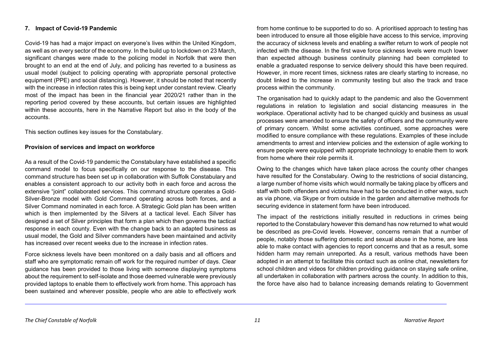## **7. Impact of Covid-19 Pandemic**

Covid-19 has had a major impact on everyone's lives within the United Kingdom, as well as on every sector of the economy. In the build up to lockdown on 23 March, significant changes were made to the policing model in Norfolk that were then brought to an end at the end of July, and policing has reverted to a business as usual model (subject to policing operating with appropriate personal protective equipment (PPE) and social distancing). However, it should be noted that recently with the increase in infection rates this is being kept under constant review. Clearly most of the impact has been in the financial year 2020/21 rather than in the reporting period covered by these accounts, but certain issues are highlighted within these accounts, here in the Narrative Report but also in the body of the accounts.

This section outlines key issues for the Constabulary.

#### **Provision of services and impact on workforce**

As a result of the Covid-19 pandemic the Constabulary have established a specific command model to focus specifically on our response to the disease. This command structure has been set up in collaboration with Suffolk Constabulary and enables a consistent approach to our activity both in each force and across the extensive "joint" collaborated services. This command structure operates a Gold-Silver-Bronze model with Gold Command operating across both forces, and a Silver Command nominated in each force. A Strategic Gold plan has been written which is then implemented by the Silvers at a tactical level. Each Silver has designed a set of Silver principles that form a plan which then governs the tactical response in each county. Even with the change back to an adapted business as usual model, the Gold and Silver commanders have been maintained and activity has increased over recent weeks due to the increase in infection rates.

Force sickness levels have been monitored on a daily basis and all officers and staff who are symptomatic remain off work for the required number of days. Clear guidance has been provided to those living with someone displaying symptoms about the requirement to self-isolate and those deemed vulnerable were previously provided laptops to enable them to effectively work from home. This approach has been sustained and wherever possible, people who are able to effectively work from home continue to be supported to do so. A prioritised approach to testing has been introduced to ensure all those eligible have access to this service, improving the accuracy of sickness levels and enabling a swifter return to work of people not infected with the disease. In the first wave force sickness levels were much lower than expected although business continuity planning had been completed to enable a graduated response to service delivery should this have been required. However, in more recent times, sickness rates are clearly starting to increase, no doubt linked to the increase in community testing but also the track and trace process within the community.

The organisation had to quickly adapt to the pandemic and also the Government regulations in relation to legislation and social distancing measures in the workplace. Operational activity had to be changed quickly and business as usual processes were amended to ensure the safety of officers and the community were of primary concern. Whilst some activities continued, some approaches were modified to ensure compliance with these regulations. Examples of these include amendments to arrest and interview policies and the extension of agile working to ensure people were equipped with appropriate technology to enable them to work from home where their role permits it.

Owing to the changes which have taken place across the county other changes have resulted for the Constabulary. Owing to the restrictions of social distancing, a large number of home visits which would normally be taking place by officers and staff with both offenders and victims have had to be conducted in other ways, such as via phone, via Skype or from outside in the garden and alternative methods for securing evidence in statement form have been introduced.

The impact of the restrictions initially resulted in reductions in crimes being reported to the Constabulary however this demand has now returned to what would be described as pre-Covid levels. However, concerns remain that a number of people, notably those suffering domestic and sexual abuse in the home, are less able to make contact with agencies to report concerns and that as a result, some hidden harm may remain unreported. As a result, various methods have been adopted in an attempt to facilitate this contact such as online chat, newsletters for school children and videos for children providing guidance on staying safe online, all undertaken in collaboration with partners across the county. In addition to this, the force have also had to balance increasing demands relating to Government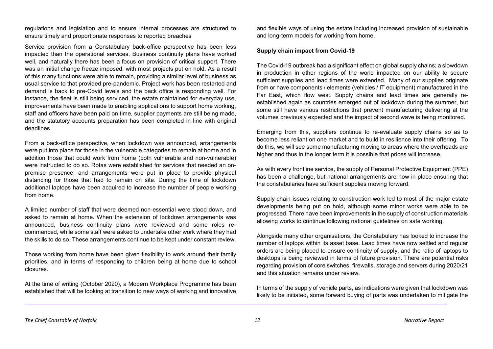regulations and legislation and to ensure internal processes are structured to ensure timely and proportionate responses to reported breaches

Service provision from a Constabulary back-office perspective has been less impacted than the operational services. Business continuity plans have worked well, and naturally there has been a focus on provision of critical support. There was an initial change freeze imposed, with most projects put on hold. As a result of this many functions were able to remain, providing a similar level of business as usual service to that provided pre-pandemic. Project work has been restarted and demand is back to pre-Covid levels and the back office is responding well. For instance, the fleet is still being serviced, the estate maintained for everyday use, improvements have been made to enabling applications to support home working, staff and officers have been paid on time, supplier payments are still being made, and the statutory accounts preparation has been completed in line with original deadlines

From a back-office perspective, when lockdown was announced, arrangements were put into place for those in the vulnerable categories to remain at home and in addition those that could work from home (both vulnerable and non-vulnerable) were instructed to do so. Rotas were established for services that needed an onpremise presence, and arrangements were put in place to provide physical distancing for those that had to remain on site. During the time of lockdown additional laptops have been acquired to increase the number of people working from home.

A limited number of staff that were deemed non-essential were stood down, and asked to remain at home. When the extension of lockdown arrangements was announced, business continuity plans were reviewed and some roles recommenced, while some staff were asked to undertake other work where they had the skills to do so. These arrangements continue to be kept under constant review.

Those working from home have been given flexibility to work around their family priorities, and in terms of responding to children being at home due to school closures.

At the time of writing (October 2020), a Modern Workplace Programme has been established that will be looking at transition to new ways of working and innovative and flexible ways of using the estate including increased provision of sustainable and long-term models for working from home.

# **Supply chain impact from Covid-19**

The Covid-19 outbreak had a significant effect on global supply chains; a slowdown in production in other regions of the world impacted on our ability to secure sufficient supplies and lead times were extended. Many of our supplies originate from or have components / elements (vehicles / IT equipment) manufactured in the Far East, which flow west. Supply chains and lead times are generally reestablished again as countries emerged out of lockdown during the summer, but some still have various restrictions that prevent manufacturing delivering at the volumes previously expected and the impact of second wave is being monitored.

Emerging from this, suppliers continue to re-evaluate supply chains so as to become less reliant on one market and to build in resilience into their offering. To do this, we will see some manufacturing moving to areas where the overheads are higher and thus in the longer term it is possible that prices will increase.

As with every frontline service, the supply of Personal Protective Equipment (PPE) has been a challenge, but national arrangements are now in place ensuring that the constabularies have sufficient supplies moving forward.

Supply chain issues relating to construction work led to most of the major estate developments being put on hold, although some minor works were able to be progressed. There have been improvements in the supply of construction materials allowing works to continue following national guidelines on safe working.

Alongside many other organisations, the Constabulary has looked to increase the number of laptops within its asset base. Lead times have now settled and regular orders are being placed to ensure continuity of supply, and the ratio of laptops to desktops is being reviewed in terms of future provision. There are potential risks regarding provision of core switches, firewalls, storage and servers during 2020/21 and this situation remains under review.

In terms of the supply of vehicle parts, as indications were given that lockdown was likely to be initiated, some forward buying of parts was undertaken to mitigate the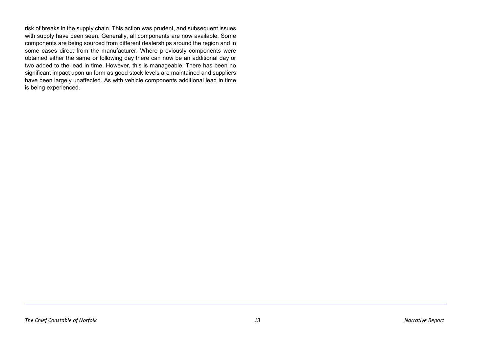risk of breaks in the supply chain. This action was prudent, and subsequent issues with supply have been seen. Generally, all components are now available. Some components are being sourced from different dealerships around the region and in some cases direct from the manufacturer. Where previously components were obtained either the same or following day there can now be an additional day or two added to the lead in time. However, this is manageable. There has been no significant impact upon uniform as good stock levels are maintained and suppliers have been largely unaffected. As with vehicle components additional lead in time is being experienced.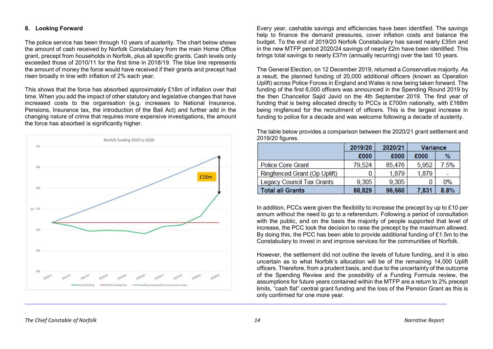## **8. Looking Forward**

The police service has been through 10 years of austerity. The chart below shows the amount of cash received by Norfolk Constabulary from the main Home Office grant, precept from households in Norfolk, plus all specific grants. Cash levels only exceeded those of 2010/11 for the first time in 2018/19. The blue line represents the amount of money the force would have received if their grants and precept had risen broadly in line with inflation of 2% each year.

This shows that the force has absorbed approximately £18m of inflation over that time. When you add the impact of other statutory and legislative changes that have increased costs to the organisation (e.g. increases to National Insurance, Pensions, Insurance tax, the introduction of the Bail Act) and further add in the changing nature of crime that requires more expensive investigations, the amount the force has absorbed is significantly higher.



Every year, cashable savings and efficiencies have been identified. The savings help to finance the demand pressures, cover inflation costs and balance the budget. To the end of 2019/20 Norfolk Constabulary has saved nearly £35m and in the new MTFP period 2020/24 savings of nearly £2m have been identified. This brings total savings to nearly £37m (annually recurring) over the last 10 years.

The General Election, on 12 December 2019, returned a Conservative majority. As a result, the planned funding of 20,000 additional officers (known as Operation Uplift) across Police Forces in England and Wales is now being taken forward. The funding of the first 6,000 officers was announced in the Spending Round 2019 by the then Chancellor Sajid Javid on the 4th September 2019. The first year of funding that is being allocated directly to PCCs is £700m nationally, with £168m being ringfenced for the recruitment of officers. This is the largest increase in funding to police for a decade and was welcome following a decade of austerity.

|                                  | 2019/20 | 2020/21 | Variance |       |
|----------------------------------|---------|---------|----------|-------|
|                                  | £000    | £000    | £000     | $\%$  |
| <b>Police Core Grant</b>         | 79,524  | 85,476  | 5,952    | 7.5%  |
| Ringfenced Grant (Op Uplift)     |         | 1,879   | 1,879    |       |
| <b>Legacy Council Tax Grants</b> | 9,305   | 9.305   |          | $0\%$ |
| Total all Grants                 | 88,829  | 96,660  | 7,831    | 8.8%  |

The table below provides a comparison between the 2020/21 grant settlement and 2019/20 figures.

In addition, PCCs were given the flexibility to increase the precept by up to £10 per annum without the need to go to a referendum. Following a period of consultation with the public, and on the basis the majority of people supported that level of increase, the PCC took the decision to raise the precept by the maximum allowed. By doing this, the PCC has been able to provide additional funding of £1.5m to the Constabulary to invest in and improve services for the communities of Norfolk.

However, the settlement did not outline the levels of future funding, and it is also uncertain as to what Norfolk's allocation will be of the remaining 14,000 Uplift officers. Therefore, from a prudent basis, and due to the uncertainty of the outcome of the Spending Review and the possibility of a Funding Formula review, the assumptions for future years contained within the MTFP are a return to 2% precept limits, "cash flat" central grant funding and the loss of the Pension Grant as this is only confirmed for one more year.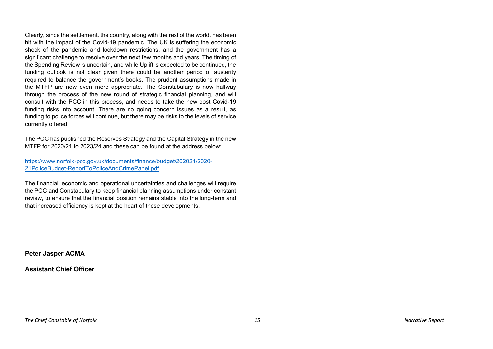Clearly, since the settlement, the country, along with the rest of the world, has been hit with the impact of the Covid-19 pandemic. The UK is suffering the economic shock of the pandemic and lockdown restrictions, and the government has a significant challenge to resolve over the next few months and years. The timing of the Spending Review is uncertain, and while Uplift is expected to be continued, the funding outlook is not clear given there could be another period of austerity required to balance the government's books. The prudent assumptions made in the MTFP are now even more appropriate. The Constabulary is now halfway through the process of the new round of strategic financial planning, and will consult with the PCC in this process, and needs to take the new post Covid-19 funding risks into account. There are no going concern issues as a result, as funding to police forces will continue, but there may be risks to the levels of service currently offered.

The PCC has published the Reserves Strategy and the Capital Strategy in the new MTFP for 2020/21 to 2023/24 and these can be found at the address below:

[https://www.norfolk-pcc.gov.uk/documents/finance/budget/202021/2020-](https://www.norfolk-pcc.gov.uk/documents/finance/budget/202021/2020-21PoliceBudget-ReportToPoliceAndCrimePanel.pdf) [21PoliceBudget-ReportToPoliceAndCrimePanel.pdf](https://www.norfolk-pcc.gov.uk/documents/finance/budget/202021/2020-21PoliceBudget-ReportToPoliceAndCrimePanel.pdf)

The financial, economic and operational uncertainties and challenges will require the PCC and Constabulary to keep financial planning assumptions under constant review, to ensure that the financial position remains stable into the long-term and that increased efficiency is kept at the heart of these developments.

**Peter Jasper ACMA**

**Assistant Chief Officer**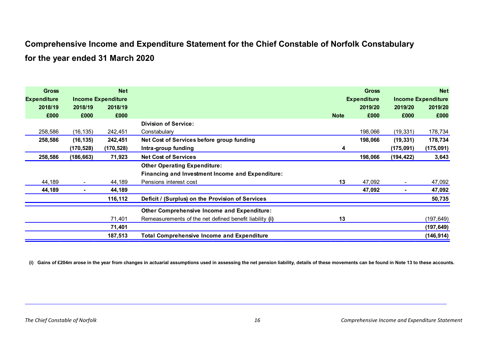# **Comprehensive Income and Expenditure Statement for the Chief Constable of Norfolk Constabulary for the year ended 31 March 2020**

| <b>Gross</b>       |            | <b>Net</b>                |                                                         |             | <b>Gross</b>       |            | <b>Net</b>                |
|--------------------|------------|---------------------------|---------------------------------------------------------|-------------|--------------------|------------|---------------------------|
| <b>Expenditure</b> |            | <b>Income Expenditure</b> |                                                         |             | <b>Expenditure</b> |            | <b>Income Expenditure</b> |
| 2018/19            | 2018/19    | 2018/19                   |                                                         |             | 2019/20            | 2019/20    | 2019/20                   |
| £000               | £000       | £000                      |                                                         | <b>Note</b> | £000               | £000       | £000                      |
|                    |            |                           | <b>Division of Service:</b>                             |             |                    |            |                           |
| 258,586            | (16, 135)  | 242,451                   | Constabulary                                            |             | 198,066            | (19, 331)  | 178,734                   |
| 258,586            | (16, 135)  | 242,451                   | Net Cost of Services before group funding               |             | 198,066            | (19, 331)  | 178,734                   |
|                    | (170, 528) | (170, 528)                | Intra-group funding                                     | 4           |                    | (175, 091) | (175,091)                 |
| 258,586            | (186, 663) | 71,923                    | <b>Net Cost of Services</b>                             |             | 198,066            | (194, 422) | 3,643                     |
|                    |            |                           | <b>Other Operating Expenditure:</b>                     |             |                    |            |                           |
|                    |            |                           | Financing and Investment Income and Expenditure:        |             |                    |            |                           |
| 44,189             |            | 44,189                    | Pensions interest cost                                  | 13          | 47,092             |            | 47,092                    |
| 44,189             |            | 44,189                    |                                                         |             | 47,092             |            | 47,092                    |
|                    |            | 116,112                   | Deficit / (Surplus) on the Provision of Services        |             |                    |            | 50,735                    |
|                    |            |                           | Other Comprehensive Income and Expenditure:             |             |                    |            |                           |
|                    |            | 71,401                    | Remeasurements of the net defined benefit liability (i) | 13          |                    |            | (197, 649)                |
|                    |            | 71,401                    |                                                         |             |                    |            | (197, 649)                |
|                    |            | 187,513                   | <b>Total Comprehensive Income and Expenditure</b>       |             |                    |            | (146,914)                 |

**(i) Gains of £204m arose in the year from changes in actuarial assumptions used in assessing the net pension liability, details of these movements can be found in Note 13 to these accounts.**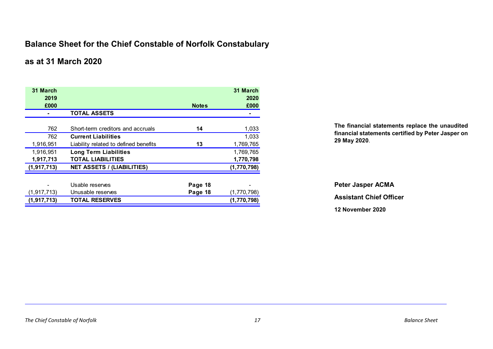# **Balance Sheet for the Chief Constable of Norfolk Constabulary**

# **as at 31 March 2020**

| 31 March<br>2019 |                                       |              | 31 March<br>2020 |
|------------------|---------------------------------------|--------------|------------------|
| £000             |                                       | <b>Notes</b> | £000             |
|                  | <b>TOTAL ASSETS</b>                   |              |                  |
|                  |                                       |              |                  |
| 762              | Short-term creditors and accruals     | 14           | 1,033            |
| 762              | <b>Current Liabilities</b>            |              | 1,033            |
| 1,916,951        | Liability related to defined benefits | 13           | 1,769,765        |
| 1,916,951        | <b>Long Term Liabilities</b>          |              | 1,769,765        |
| 1,917,713        | <b>TOTAL LIABILITIES</b>              |              | 1,770,798        |
| (1, 917, 713)    | <b>NET ASSETS / (LIABILITIES)</b>     |              | (1,770,798)      |
|                  |                                       |              |                  |
|                  | Usable reserves                       | Page 18      |                  |
| (1, 917, 713)    | Unusable reserves                     | Page 18      | (1,770,798)      |
| (1, 917, 713)    | <b>TOTAL RESERVES</b>                 |              | (1,770,798)      |

**The financial statements replace the unaudited financial statements certified by Peter Jasper on 29 May 2020**.

**Peter Jasper ACMA Assistant Chief Officer 12 November 2020**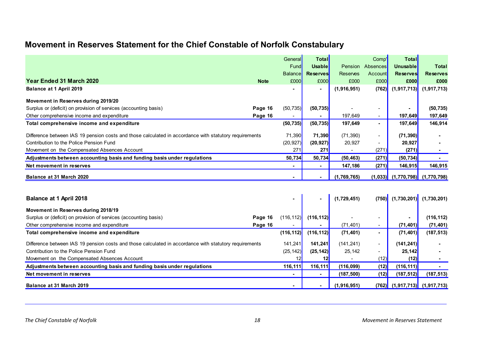# **Movement in Reserves Statement for the Chief Constable of Norfolk Constabulary**

|                                                                                                        |             | General        | <b>Total</b>   |                 | Comp'                    | <b>Total</b>                          |                             |
|--------------------------------------------------------------------------------------------------------|-------------|----------------|----------------|-----------------|--------------------------|---------------------------------------|-----------------------------|
|                                                                                                        |             | Fund           | <b>Usable</b>  | <b>Pension</b>  | Absences                 | <b>Unusable</b>                       | <b>Total</b>                |
|                                                                                                        |             | <b>Balance</b> | Reserves       | <b>Reserves</b> | Account                  | <b>Reserves</b>                       | <b>Reserves</b>             |
| Year Ended 31 March 2020                                                                               | <b>Note</b> | £000           | £000           | £000            | £000                     | £000                                  | £000                        |
| Balance at 1 April 2019                                                                                |             |                | $\sim$         | (1,916,951)     | (762)                    |                                       | $(1,917,713)$ $(1,917,713)$ |
| Movement in Reserves during 2019/20                                                                    |             |                |                |                 |                          |                                       |                             |
| Surplus or (deficit) on provision of services (accounting basis)                                       | Page 16     | (50, 735)      | (50, 735)      |                 | $\overline{\phantom{a}}$ |                                       | (50, 735)                   |
| Other comprehensive income and expenditure                                                             | Page 16     |                | $\blacksquare$ | 197,649         | $\blacksquare$           | 197,649                               | 197,649                     |
| Total comprehensive income and expenditure                                                             |             | (50, 735)      | (50, 735)      | 197,649         | $\blacksquare$           | <b>197,649</b>                        | 146,914                     |
| Difference between IAS 19 pension costs and those calculated in accordance with statutory requirements |             | 71,390         | 71,390         | (71, 390)       | $\sim$                   | (71, 390)                             |                             |
| Contribution to the Police Pension Fund                                                                |             | (20, 927)      | (20, 927)      | 20,927          |                          | 20,927                                |                             |
| Movement on the Compensated Absences Account                                                           |             | 271            | 271            | $\blacksquare$  | (271)                    | (271)                                 |                             |
| Adjustments between accounting basis and funding basis under regulations                               |             | 50,734         | 50,734         | (50, 463)       | (271)                    | (50, 734)                             |                             |
| Net movement in reserves                                                                               |             | $\blacksquare$ | $\sim$         | 147,186         | (271)                    | 146,915                               | 146,915                     |
| Balance at 31 March 2020                                                                               |             |                |                | (1,769,765)     |                          | $(1,033)$ $(1,770,798)$ $(1,770,798)$ |                             |

| <b>Balance at 1 April 2018</b>                                                                         |         |            |                | (1,729,451) |                          | $(750)$ $(1,730,201)$ $(1,730,201)$ |                                     |
|--------------------------------------------------------------------------------------------------------|---------|------------|----------------|-------------|--------------------------|-------------------------------------|-------------------------------------|
| Movement in Reserves during 2018/19                                                                    |         |            |                |             |                          |                                     |                                     |
| Surplus or (deficit) on provision of services (accounting basis)                                       | Page 16 | (116, 112) | (116, 112)     |             | $\overline{\phantom{0}}$ | $\overline{\phantom{0}}$            | (116, 112)                          |
| Other comprehensive income and expenditure                                                             | Page 16 |            |                | (71, 401)   | $\sim$                   | (71, 401)                           | (71, 401)                           |
| Total comprehensive income and expenditure                                                             |         | (116, 112) | (116, 112)     | (71, 401)   | н.                       | (71, 401)                           | (187, 513)                          |
| Difference between IAS 19 pension costs and those calculated in accordance with statutory requirements |         | 141,241    | <b>141.241</b> | (141, 241)  | $\sim$                   | (141, 241)                          |                                     |
| Contribution to the Police Pension Fund                                                                |         | (25, 142)  | (25, 142)      | 25,142      | $\sim$                   | 25,142                              |                                     |
| Movement on the Compensated Absences Account                                                           |         |            |                |             | (12)                     | (12)                                |                                     |
| Adjustments between accounting basis and funding basis under regulations                               |         | 116.111    | 116.111        | (116,099)   | (12)                     | (116, 111)                          |                                     |
| Net movement in reserves                                                                               |         |            | $\blacksquare$ | (187, 500)  | (12)                     | (187, 512)                          | (187, 513)                          |
| Balance at 31 March 2019                                                                               |         |            |                | (1,916,951) |                          |                                     | $(762)$ $(1,917,713)$ $(1,917,713)$ |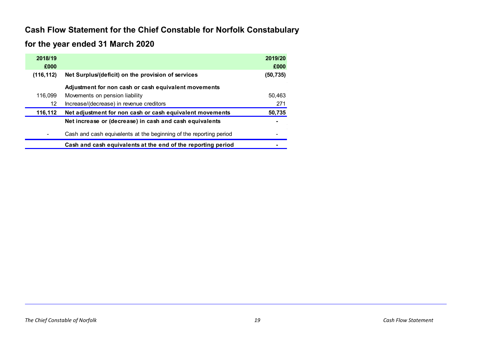# **Cash Flow Statement for the Chief Constable for Norfolk Constabulary**

# **for the year ended 31 March 2020**

| 2018/19    |                                                                    | 2019/20   |
|------------|--------------------------------------------------------------------|-----------|
| £000       |                                                                    | £000      |
| (116, 112) | Net Surplus/(deficit) on the provision of services                 | (50, 735) |
|            | Adjustment for non cash or cash equivalent movements               |           |
| 116,099    | Movements on pension liability                                     | 50,463    |
| 12         | Increase/(decrease) in revenue creditors                           | 271       |
| 116,112    | Net adjustment for non cash or cash equivalent movements           | 50,735    |
|            | Net increase or (decrease) in cash and cash equivalents            |           |
|            | Cash and cash equivalents at the beginning of the reporting period |           |
|            | Cash and cash equivalents at the end of the reporting period       |           |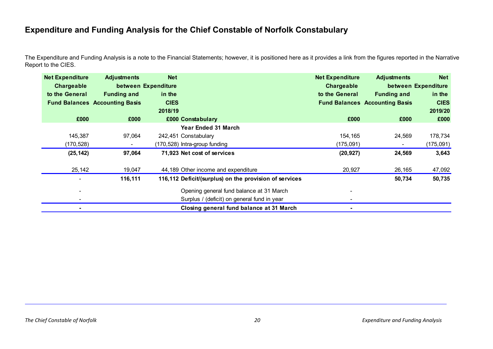# **Expenditure and Funding Analysis for the Chief Constable of Norfolk Constabulary**

The Expenditure and Funding Analysis is a note to the Financial Statements; however, it is positioned here as it provides a link from the figures reported in the Narrative Report to the CIES.

| <b>Net Expenditure</b> | <b>Adjustments</b>                    | <b>Net</b>          |                                                        | <b>Net Expenditure</b> | <b>Adjustments</b>                    | <b>Net</b>          |
|------------------------|---------------------------------------|---------------------|--------------------------------------------------------|------------------------|---------------------------------------|---------------------|
| Chargeable             |                                       | between Expenditure |                                                        | Chargeable             |                                       | between Expenditure |
| to the General         | <b>Funding and</b>                    | in the              |                                                        | to the General         | <b>Funding and</b>                    | in the              |
|                        | <b>Fund Balances Accounting Basis</b> | <b>CIES</b>         |                                                        |                        | <b>Fund Balances Accounting Basis</b> | <b>CIES</b>         |
|                        |                                       | 2018/19             |                                                        |                        |                                       | 2019/20             |
| £000                   | £000                                  |                     | £000 Constabulary                                      | £000                   | £000                                  | £000                |
|                        |                                       |                     | <b>Year Ended 31 March</b>                             |                        |                                       |                     |
| 145,387                | 97,064                                |                     | 242,451 Constabulary                                   | 154,165                | 24,569                                | 178,734             |
| (170, 528)             |                                       |                     | (170,528) Intra-group funding                          | (175,091)              |                                       | (175,091)           |
| (25, 142)              | 97,064                                |                     | 71,923 Net cost of services                            | (20, 927)              | 24,569                                | 3,643               |
| 25,142                 | 19,047                                |                     | 44,189 Other income and expenditure                    | 20,927                 | 26,165                                | 47,092              |
|                        | 116,111                               |                     | 116,112 Deficit/(surplus) on the provision of services |                        | 50,734                                | 50,735              |
|                        |                                       |                     | Opening general fund balance at 31 March               |                        |                                       |                     |
|                        |                                       |                     | Surplus / (deficit) on general fund in year            |                        |                                       |                     |
|                        |                                       |                     | Closing general fund balance at 31 March               |                        |                                       |                     |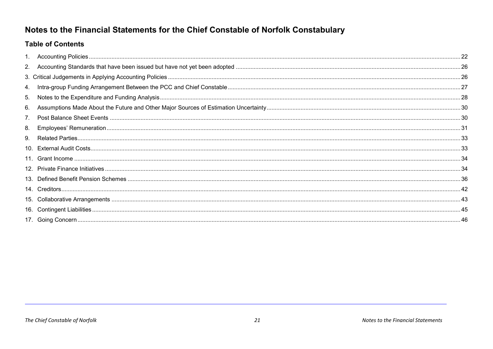# Notes to the Financial Statements for the Chief Constable of Norfolk Constabulary

# **Table of Contents**

| 4. |      |
|----|------|
| 5. |      |
| 6. |      |
|    |      |
| 8. | . 31 |
| 9. |      |
|    |      |
|    |      |
|    |      |
|    |      |
|    |      |
|    |      |
|    |      |
|    |      |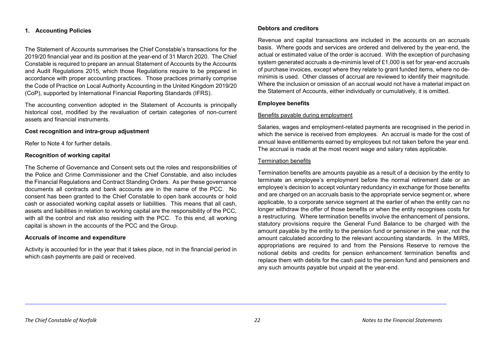# <span id="page-28-0"></span>**1. Accounting Policies**

The Statement of Accounts summarises the Chief Constable's transactions for the 2019/20 financial year and its position at the year-end of 31 March 2020. The Chief Constable is required to prepare an annual Statement of Accounts by the Accounts and Audit Regulations 2015, which those Regulations require to be prepared in accordance with proper accounting practices. Those practices primarily comprise the Code of Practice on Local Authority Accounting in the United Kingdom 2019/20 (CoP), supported by International Financial Reporting Standards (IFRS).

The accounting convention adopted in the Statement of Accounts is principally historical cost, modified by the revaluation of certain categories of non-current assets and financial instruments.

#### **Cost recognition and intra-group adjustment**

Refer to Note 4 for further details.

#### **Recognition of working capital**

The Scheme of Governance and Consent sets out the roles and responsibilities of the Police and Crime Commissioner and the Chief Constable, and also includes the Financial Regulations and Contract Standing Orders. As per these governance documents all contracts and bank accounts are in the name of the PCC. No consent has been granted to the Chief Constable to open bank accounts or hold cash or associated working capital assets or liabilities. This means that all cash, assets and liabilities in relation to working capital are the responsibility of the PCC, with all the control and risk also residing with the PCC. To this end, all working capital is shown in the accounts of the PCC and the Group.

# **Accruals of income and expenditure**

Activity is accounted for in the year that it takes place, not in the financial period in which cash payments are paid or received.

## **Debtors and creditors**

Revenue and capital transactions are included in the accounts on an accruals basis. Where goods and services are ordered and delivered by the year-end, the actual or estimated value of the order is accrued. With the exception of purchasing system generated accruals a de-minimis level of £1,000 is set for year-end accruals of purchase invoices, except where they relate to grant funded items, where no deminimis is used. Other classes of accrual are reviewed to identify their magnitude. Where the inclusion or omission of an accrual would not have a material impact on the Statement of Accounts, either individually or cumulatively, it is omitted.

## **Employee benefits**

#### Benefits payable during employment

Salaries, wages and employment-related payments are recognised in the period in which the service is received from employees. An accrual is made for the cost of annual leave entitlements earned by employees but not taken before the year end. The accrual is made at the most recent wage and salary rates applicable.

#### Termination benefits

Termination benefits are amounts payable as a result of a decision by the entity to terminate an employee's employment before the normal retirement date or an employee's decision to accept voluntary redundancy in exchange for those benefits and are charged on an accruals basis to the appropriate service segment or, where applicable, to a corporate service segment at the earlier of when the entity can no longer withdraw the offer of those benefits or when the entity recognises costs for a restructuring. Where termination benefits involve the enhancement of pensions, statutory provisions require the General Fund Balance to be charged with the amount payable by the entity to the pension fund or pensioner in the year, not the amount calculated according to the relevant accounting standards. In the MIRS, appropriations are required to and from the Pensions Reserve to remove the notional debits and credits for pension enhancement termination benefits and replace them with debits for the cash paid to the pension fund and pensioners and any such amounts payable but unpaid at the year-end.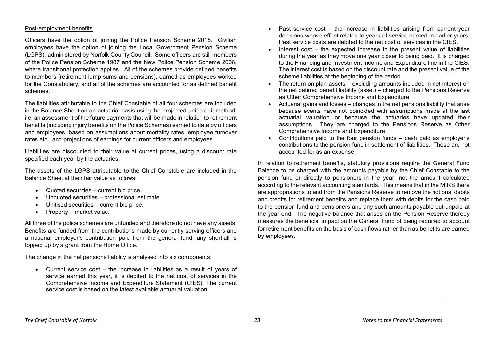## Post-employment benefits

Officers have the option of joining the Police Pension Scheme 2015. Civilian employees have the option of joining the Local Government Pension Scheme (LGPS), administered by Norfolk County Council. Some officers are still members of the Police Pension Scheme 1987 and the New Police Pension Scheme 2006, where transitional protection applies. All of the schemes provide defined benefits to members (retirement lump sums and pensions), earned as employees worked for the Constabulary, and all of the schemes are accounted for as defined benefit schemes.

The liabilities attributable to the Chief Constable of all four schemes are included in the Balance Sheet on an actuarial basis using the projected unit credit method, i.e. an assessment of the future payments that will be made in relation to retirement benefits (including injury benefits on the Police Schemes) earned to date by officers and employees, based on assumptions about mortality rates, employee turnover rates etc., and projections of earnings for current officers and employees.

Liabilities are discounted to their value at current prices, using a discount rate specified each year by the actuaries.

The assets of the LGPS attributable to the Chief Constable are included in the Balance Sheet at their fair value as follows:

- Quoted securities current bid price.
- Unquoted securities professional estimate.
- Unitised securities current bid price.
- Property market value.

All three of the police schemes are unfunded and therefore do not have any assets. Benefits are funded from the contributions made by currently serving officers and a notional employer's contribution paid from the general fund; any shortfall is topped up by a grant from the Home Office.

The change in the net pensions liability is analysed into six components:

• Current service cost – the increase in liabilities as a result of years of service earned this year, it is debited to the net cost of services in the Comprehensive Income and Expenditure Statement (CIES). The current service cost is based on the latest available actuarial valuation.

- Past service cost the increase in liabilities arising from current year decisions whose effect relates to years of service earned in earlier years. Past service costs are debited to the net cost of services in the CIES.
- Interest cost the expected increase in the present value of liabilities during the year as they move one year closer to being paid. It is charged to the Financing and Investment Income and Expenditure line in the CIES. The interest cost is based on the discount rate and the present value of the scheme liabilities at the beginning of the period.
- The return on plan assets excluding amounts included in net interest on the net defined benefit liability (asset) – charged to the Pensions Reserve as Other Comprehensive Income and Expenditure.
- Actuarial gains and losses changes in the net pensions liability that arise because events have not coincided with assumptions made at the last actuarial valuation or because the actuaries have updated their assumptions. They are charged to the Pensions Reserve as Other Comprehensive Income and Expenditure.
- Contributions paid to the four pension funds cash paid as employer's contributions to the pension fund in settlement of liabilities. These are not accounted for as an expense.

In relation to retirement benefits, statutory provisions require the General Fund Balance to be charged with the amounts payable by the Chief Constable to the pension fund or directly to pensioners in the year, not the amount calculated according to the relevant accounting standards. This means that in the MIRS there are appropriations to and from the Pensions Reserve to remove the notional debits and credits for retirement benefits and replace them with debits for the cash paid to the pension fund and pensioners and any such amounts payable but unpaid at the year-end. The negative balance that arises on the Pension Reserve thereby measures the beneficial impact on the General Fund of being required to account for retirement benefits on the basis of cash flows rather than as benefits are earned by employees.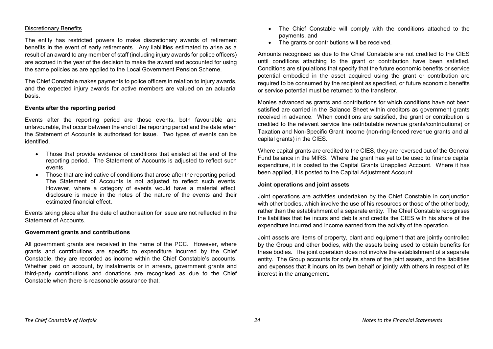## Discretionary Benefits

The entity has restricted powers to make discretionary awards of retirement benefits in the event of early retirements. Any liabilities estimated to arise as a result of an award to any member of staff (including injury awards for police officers) are accrued in the year of the decision to make the award and accounted for using the same policies as are applied to the Local Government Pension Scheme.

The Chief Constable makes payments to police officers in relation to injury awards, and the expected injury awards for active members are valued on an actuarial basis.

## **Events after the reporting period**

Events after the reporting period are those events, both favourable and unfavourable, that occur between the end of the reporting period and the date when the Statement of Accounts is authorised for issue. Two types of events can be identified.

- Those that provide evidence of conditions that existed at the end of the reporting period. The Statement of Accounts is adjusted to reflect such events.
- Those that are indicative of conditions that arose after the reporting period. The Statement of Accounts is not adjusted to reflect such events. However, where a category of events would have a material effect, disclosure is made in the notes of the nature of the events and their estimated financial effect.

Events taking place after the date of authorisation for issue are not reflected in the Statement of Accounts.

#### **Government grants and contributions**

All government grants are received in the name of the PCC. However, where grants and contributions are specific to expenditure incurred by the Chief Constable, they are recorded as income within the Chief Constable's accounts. Whether paid on account, by instalments or in arrears, government grants and third-party contributions and donations are recognised as due to the Chief Constable when there is reasonable assurance that:

- The Chief Constable will comply with the conditions attached to the payments, and
- The grants or contributions will be received.

Amounts recognised as due to the Chief Constable are not credited to the CIES until conditions attaching to the grant or contribution have been satisfied. Conditions are stipulations that specify that the future economic benefits or service potential embodied in the asset acquired using the grant or contribution are required to be consumed by the recipient as specified, or future economic benefits or service potential must be returned to the transferor.

Monies advanced as grants and contributions for which conditions have not been satisfied are carried in the Balance Sheet within creditors as government grants received in advance. When conditions are satisfied, the grant or contribution is credited to the relevant service line (attributable revenue grants/contributions) or Taxation and Non-Specific Grant Income (non-ring-fenced revenue grants and all capital grants) in the CIES.

Where capital grants are credited to the CIES, they are reversed out of the General Fund balance in the MIRS. Where the grant has yet to be used to finance capital expenditure, it is posted to the Capital Grants Unapplied Account. Where it has been applied, it is posted to the Capital Adjustment Account.

#### **Joint operations and joint assets**

Joint operations are activities undertaken by the Chief Constable in conjunction with other bodies, which involve the use of his resources or those of the other body, rather than the establishment of a separate entity. The Chief Constable recognises the liabilities that he incurs and debits and credits the CIES with his share of the expenditure incurred and income earned from the activity of the operation.

Joint assets are items of property, plant and equipment that are jointly controlled by the Group and other bodies, with the assets being used to obtain benefits for these bodies. The joint operation does not involve the establishment of a separate entity. The Group accounts for only its share of the joint assets, and the liabilities and expenses that it incurs on its own behalf or jointly with others in respect of its interest in the arrangement.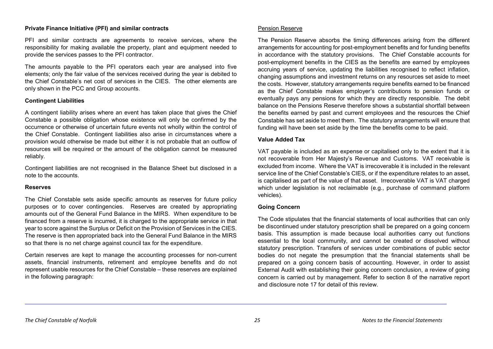## **Private Finance Initiative (PFI) and similar contracts**

PFI and similar contracts are agreements to receive services, where the responsibility for making available the property, plant and equipment needed to provide the services passes to the PFI contractor.

The amounts payable to the PFI operators each year are analysed into five elements; only the fair value of the services received during the year is debited to the Chief Constable's net cost of services in the CIES. The other elements are only shown in the PCC and Group accounts.

# **Contingent Liabilities**

A contingent liability arises where an event has taken place that gives the Chief Constable a possible obligation whose existence will only be confirmed by the occurrence or otherwise of uncertain future events not wholly within the control of the Chief Constable. Contingent liabilities also arise in circumstances where a provision would otherwise be made but either it is not probable that an outflow of resources will be required or the amount of the obligation cannot be measured reliably.

Contingent liabilities are not recognised in the Balance Sheet but disclosed in a note to the accounts.

## **Reserves**

The Chief Constable sets aside specific amounts as reserves for future policy purposes or to cover contingencies. Reserves are created by appropriating amounts out of the General Fund Balance in the MIRS. When expenditure to be financed from a reserve is incurred, it is charged to the appropriate service in that year to score against the Surplus or Deficit on the Provision of Services in the CIES. The reserve is then appropriated back into the General Fund Balance in the MIRS so that there is no net charge against council tax for the expenditure.

Certain reserves are kept to manage the accounting processes for non-current assets, financial instruments, retirement and employee benefits and do not represent usable resources for the Chief Constable – these reserves are explained in the following paragraph:

The Pension Reserve absorbs the timing differences arising from the different arrangements for accounting for post-employment benefits and for funding benefits in accordance with the statutory provisions. The Chief Constable accounts for post-employment benefits in the CIES as the benefits are earned by employees accruing years of service, updating the liabilities recognised to reflect inflation, changing assumptions and investment returns on any resources set aside to meet the costs. However, statutory arrangements require benefits earned to be financed as the Chief Constable makes employer's contributions to pension funds or eventually pays any pensions for which they are directly responsible. The debit balance on the Pensions Reserve therefore shows a substantial shortfall between the benefits earned by past and current employees and the resources the Chief Constable has set aside to meet them. The statutory arrangements will ensure that funding will have been set aside by the time the benefits come to be paid.

# **Value Added Tax**

VAT payable is included as an expense or capitalised only to the extent that it is not recoverable from Her Majesty's Revenue and Customs. VAT receivable is excluded from income. Where the VAT is irrecoverable it is included in the relevant service line of the Chief Constable's CIES, or if the expenditure relates to an asset, is capitalised as part of the value of that asset. Irrecoverable VAT is VAT charged which under legislation is not reclaimable (e.g., purchase of command platform vehicles).

# **Going Concern**

The Code stipulates that the financial statements of local authorities that can only be discontinued under statutory prescription shall be prepared on a going concern basis. This assumption is made because local authorities carry out functions essential to the local community, and cannot be created or dissolved without statutory prescription. Transfers of services under combinations of public sector bodies do not negate the presumption that the financial statements shall be prepared on a going concern basis of accounting. However, in order to assist External Audit with establishing their going concern conclusion, a review of going concern is carried out by management. Refer to section 8 of the narrative report and disclosure note 17 for detail of this review.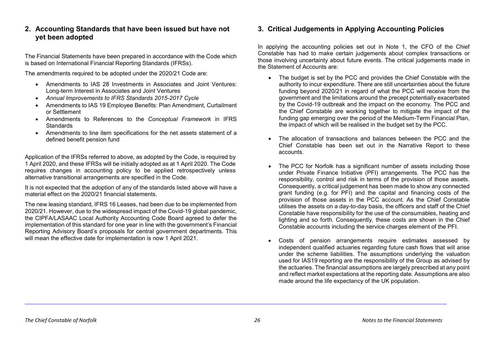# <span id="page-32-0"></span>**2. Accounting Standards that have been issued but have not yet been adopted**

The Financial Statements have been prepared in accordance with the Code which is based on International Financial Reporting Standards (IFRSs).

The amendments required to be adopted under the 2020/21 Code are:

- Amendments to IAS 28 Investments in Associates and Joint Ventures: Long-term Interest in Associates and Joint Ventures
- *Annual Improvements to IFRS Standards 2015-2017 Cycle*
- Amendments to IAS 19 Employee Benefits: Plan Amendment, Curtailment or Settlement
- Amendments to References to the *Conceptual Framework* in IFRS **Standards**
- Amendments to line item specifications for the net assets statement of a defined benefit pension fund

Application of the IFRSs referred to above, as adopted by the Code, is required by 1 April 2020, and these IFRSs will be initially adopted as at 1 April 2020. The Code requires changes in accounting policy to be applied retrospectively unless alternative transitional arrangements are specified in the Code.

It is not expected that the adoption of any of the standards listed above will have a material effect on the 2020/21 financial statements.

The new leasing standard, IFRS 16 Leases, had been due to be implemented from 2020/21. However, due to the widespread impact of the Covid-19 global pandemic, the CIPFA/LASAAC Local Authority Accounting Code Board agreed to defer the implementation of this standard for one year in line with the government's Financial Reporting Advisory Board's proposals for central government departments. This will mean the effective date for implementation is now 1 April 2021.

# <span id="page-32-1"></span>**3. Critical Judgements in Applying Accounting Policies**

In applying the accounting policies set out in Note 1, the CFO of the Chief Constable has had to make certain judgements about complex transactions or those involving uncertainty about future events. The critical judgements made in the Statement of Accounts are:

- The budget is set by the PCC and provides the Chief Constable with the authority to incur expenditure. There are still uncertainties about the future funding beyond 2020/21 in regard of what the PCC will receive from the government and the limitations around the precept potentially exacerbated by the Covid-19 outbreak and the impact on the economy. The PCC and the Chief Constable are working together to mitigate the impact of the funding gap emerging over the period of the Medium-Term Financial Plan, the impact of which will be realised in the budget set by the PCC.
- The allocation of transactions and balances between the PCC and the Chief Constable has been set out in the Narrative Report to these accounts.
- The PCC for Norfolk has a significant number of assets including those under Private Finance Initiative (PFI) arrangements. The PCC has the responsibility, control and risk in terms of the provision of those assets. Consequently, a critical judgement has been made to show any connected grant funding (e.g. for PFI) and the capital and financing costs of the provision of those assets in the PCC account. As the Chief Constable utilises the assets on a day-to-day basis, the officers and staff of the Chief Constable have responsibility for the use of the consumables, heating and lighting and so forth. Consequently, these costs are shown in the Chief Constable accounts including the service charges element of the PFI.
- Costs of pension arrangements require estimates assessed by independent qualified actuaries regarding future cash flows that will arise under the scheme liabilities. The assumptions underlying the valuation used for IAS19 reporting are the responsibility of the Group as advised by the actuaries. The financial assumptions are largely prescribed at any point and reflect market expectations at the reporting date. Assumptions are also made around the life expectancy of the UK population.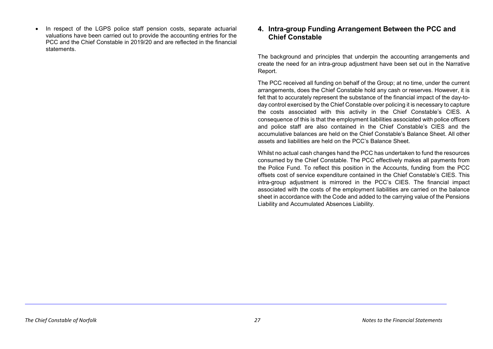In respect of the LGPS police staff pension costs, separate actuarial valuations have been carried out to provide the accounting entries for the PCC and the Chief Constable in 2019/20 and are reflected in the financial statements.

# <span id="page-33-0"></span>**4. Intra-group Funding Arrangement Between the PCC and Chief Constable**

The background and principles that underpin the accounting arrangements and create the need for an intra-group adjustment have been set out in the Narrative Report.

The PCC received all funding on behalf of the Group; at no time, under the current arrangements, does the Chief Constable hold any cash or reserves. However, it is felt that to accurately represent the substance of the financial impact of the day-today control exercised by the Chief Constable over policing it is necessary to capture the costs associated with this activity in the Chief Constable's CIES. A consequence of this is that the employment liabilities associated with police officers and police staff are also contained in the Chief Constable's CIES and the accumulative balances are held on the Chief Constable's Balance Sheet. All other assets and liabilities are held on the PCC's Balance Sheet.

Whilst no actual cash changes hand the PCC has undertaken to fund the resources consumed by the Chief Constable. The PCC effectively makes all payments from the Police Fund. To reflect this position in the Accounts, funding from the PCC offsets cost of service expenditure contained in the Chief Constable's CIES. This intra-group adjustment is mirrored in the PCC's CIES. The financial impact associated with the costs of the employment liabilities are carried on the balance sheet in accordance with the Code and added to the carrying value of the Pensions Liability and Accumulated Absences Liability.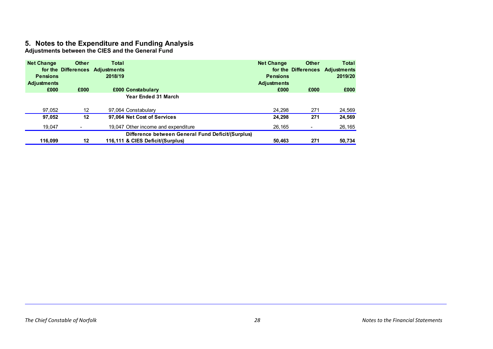# <span id="page-34-0"></span>**5. Notes to the Expenditure and Funding Analysis**

**Adjustments between the CIES and the General Fund**

| <b>Net Change</b>  | <b>Other</b>      | Total                           |                                                   | <b>Net Change</b>  | <b>Other</b> | <b>Total</b>                    |
|--------------------|-------------------|---------------------------------|---------------------------------------------------|--------------------|--------------|---------------------------------|
|                    |                   | for the Differences Adjustments |                                                   |                    |              | for the Differences Adjustments |
| <b>Pensions</b>    |                   | 2018/19                         |                                                   | <b>Pensions</b>    |              | 2019/20                         |
| <b>Adjustments</b> |                   |                                 |                                                   | <b>Adjustments</b> |              |                                 |
| £000               | £000              |                                 | £000 Constabulary                                 | £000               | £000         | £000                            |
|                    |                   |                                 | <b>Year Ended 31 March</b>                        |                    |              |                                 |
| 97,052             | $12 \overline{ }$ |                                 | 97,064 Constabulary                               | 24.298             | 271          | 24,569                          |
| 97.052             | 12                |                                 | 97,064 Net Cost of Services                       | 24,298             | 271          | 24,569                          |
| 19,047             |                   |                                 | 19,047 Other income and expenditure               | 26,165             |              | 26,165                          |
|                    |                   |                                 | Difference between General Fund Deficit/(Surplus) |                    |              |                                 |
| 116.099            | 12                |                                 | 116,111 & CIES Deficit/(Surplus)                  | 50.463             | 271          | 50,734                          |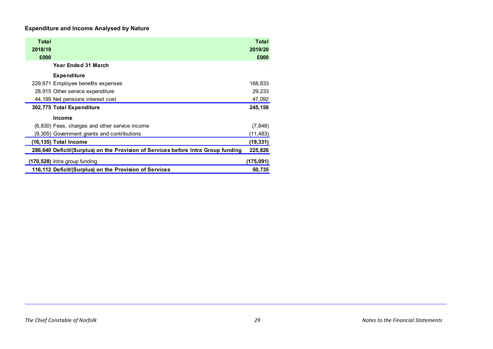# **Expenditure and Income Analysed by Nature**

| Total<br>2018/19<br>£000                                                          | Total<br>2019/20<br>£000 |
|-----------------------------------------------------------------------------------|--------------------------|
| Year Ended 31 March                                                               |                          |
| <b>Expenditure</b>                                                                |                          |
| 229,671 Employee benefits expenses                                                | 168,833                  |
| 28,915 Other service expenditure                                                  | 29,233                   |
| 44,189 Net pensions interest cost                                                 | 47,092                   |
| 302,775 Total Expenditure                                                         | 245,158                  |
| <b>Income</b>                                                                     |                          |
| (6,830) Fees, charges and other service income                                    | (7, 848)                 |
| (9,305) Government grants and contributions                                       | (11,483)                 |
| (16,135) Total Income                                                             | (19, 331)                |
| 286,640 Deficit/(Surplus) on the Provision of Services before Intra Group funding | 225,826                  |
| $(170,528)$ Intra group funding                                                   | (175, 091)               |
| 116,112 Deficit/(Surplus) on the Provision of Services                            | 50,735                   |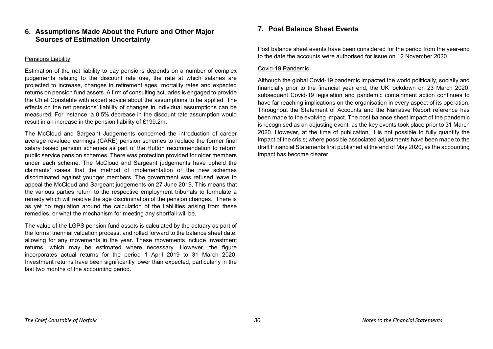# <span id="page-36-0"></span>**6. Assumptions Made About the Future and Other Major Sources of Estimation Uncertainty**

# Pensions Liability

Estimation of the net liability to pay pensions depends on a number of complex judgements relating to the discount rate use, the rate at which salaries are projected to increase, changes in retirement ages, mortality rates and expected returns on pension fund assets. A firm of consulting actuaries is engaged to provide the Chief Constable with expert advice about the assumptions to be applied. The effects on the net pensions' liability of changes in individual assumptions can be measured. For instance, a 0.5% decrease in the discount rate assumption would result in an increase in the pension liability of £199.2m.

The McCloud and Sargeant Judgements concerned the introduction of career average revalued earnings (CARE) pension schemes to replace the former final salary based pension schemes as part of the Hutton recommendation to reform public service pension schemes. There was protection provided for older members under each scheme. The McCloud and Sargeant judgements have upheld the claimants' cases that the method of implementation of the new schemes discriminated against younger members. The government was refused leave to appeal the McCloud and Sargeant judgements on 27 June 2019. This means that the various parties return to the respective employment tribunals to formulate a remedy which will resolve the age discrimination of the pension changes. There is as yet no regulation around the calculation of the liabilities arising from these remedies, or what the mechanism for meeting any shortfall will be.

The value of the LGPS pension fund assets is calculated by the actuary as part of the formal triennial valuation process, and rolled forward to the balance sheet date, allowing for any movements in the year. These movements include investment returns, which may be estimated where necessary. However, the figure incorporates actual returns for the period 1 April 2019 to 31 March 2020. Investment returns have been significantly lower than expected, particularly in the last two months of the accounting period.

# <span id="page-36-1"></span>**7. Post Balance Sheet Events**

Post balance sheet events have been considered for the period from the year-end to the date the accounts were authorised for issue on 12 November 2020.

# Covid-19 Pandemic

Although the global Covid-19 pandemic impacted the world politically, socially and financially prior to the financial year end, the UK lockdown on 23 March 2020, subsequent Covid-19 legislation and pandemic containment action continues to have far reaching implications on the organisation in every aspect of its operation. Throughout the Statement of Accounts and the Narrative Report reference has been made to the evolving impact. The post balance sheet impact of the pandemic is recognised as an adjusting event, as the key events took place prior to 31 March 2020. However, at the time of publication, it is not possible to fully quantify the impact of the crisis; where possible associated adjustments have been made to the draft Financial Statements first published at the end of May 2020, as the accounting impact has become clearer.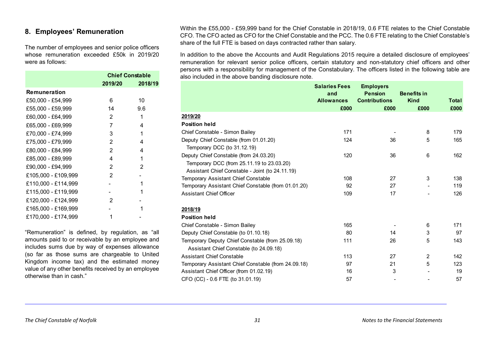# <span id="page-37-0"></span>**8. Employees' Remuneration**

The number of employees and senior police officers whose remuneration exceeded £50k in 2019/20 were as follows:

|                     | <b>Chief Constable</b> |         |  |
|---------------------|------------------------|---------|--|
|                     | 2019/20                | 2018/19 |  |
| <b>Remuneration</b> |                        |         |  |
| £50,000 - £54,999   | 6                      | 10      |  |
| £55,000 - £59,999   | 14                     | 9.6     |  |
| £60,000 - £64,999   | 2                      | 1       |  |
| £65,000 - £69,999   | 7                      | 4       |  |
| £70,000 - £74,999   | 3                      | 1       |  |
| £75,000 - £79,999   | 2                      | 4       |  |
| £80,000 - £84,999   | $\overline{2}$         | 4       |  |
| £85,000 - £89,999   | 4                      | 1       |  |
| £90,000 - £94,999   | 2                      | 2       |  |
| £105,000 - £109,999 | $\overline{2}$         |         |  |
| £110,000 - £114,999 |                        | 1       |  |
| £115,000 - £119,999 |                        | 1       |  |
| £120,000 - £124,999 | 2                      |         |  |
| £165,000 - £169,999 |                        | 1       |  |
| £170,000 - £174,999 | 1                      |         |  |

"Remuneration" is defined, by regulation, as "all amounts paid to or receivable by an employee and includes sums due by way of expenses allowance (so far as those sums are chargeable to United Kingdom income tax) and the estimated money value of any other benefits received by an employee otherwise than in cash."

Within the £55,000 - £59,999 band for the Chief Constable in 2018/19, 0.6 FTE relates to the Chief Constable CFO. The CFO acted as CFO for the Chief Constable and the PCC. The 0.6 FTE relating to the Chief Constable's share of the full FTE is based on days contracted rather than salary.

In addition to the above the Accounts and Audit Regulations 2015 require a detailed disclosure of employees' remuneration for relevant senior police officers, certain statutory and non-statutory chief officers and other persons with a responsibility for management of the Constabulary. The officers listed in the following table are also included in the above banding disclosure note.

|                                                     | <b>Salaries Fees</b><br>and<br><b>Allowances</b><br>£000 | <b>Employers</b><br><b>Pension</b><br><b>Contributions</b><br>£000 | <b>Benefits in</b><br><b>Kind</b><br>£000 | <b>Total</b><br>£000 |
|-----------------------------------------------------|----------------------------------------------------------|--------------------------------------------------------------------|-------------------------------------------|----------------------|
| 2019/20                                             |                                                          |                                                                    |                                           |                      |
| <b>Position held</b>                                |                                                          |                                                                    |                                           |                      |
| Chief Constable - Simon Bailey                      | 171                                                      |                                                                    | 8                                         | 179                  |
| Deputy Chief Constable (from 01.01.20)              | 124                                                      | 36                                                                 | 5                                         | 165                  |
| Temporary DCC (to 31.12.19)                         |                                                          |                                                                    |                                           |                      |
| Deputy Chief Constable (from 24.03.20)              | 120                                                      | 36                                                                 | 6                                         | 162                  |
| Temporary DCC (from 25.11.19 to 23.03.20)           |                                                          |                                                                    |                                           |                      |
| Assistant Chief Constable - Joint (to 24.11.19)     |                                                          |                                                                    |                                           |                      |
| Temporary Assistant Chief Constable                 | 108                                                      | 27                                                                 | 3                                         | 138                  |
| Temporary Assistant Chief Constable (from 01.01.20) | 92                                                       | 27                                                                 |                                           | 119                  |
| Assistant Chief Officer                             | 109                                                      | 17                                                                 |                                           | 126                  |
| 2018/19                                             |                                                          |                                                                    |                                           |                      |
| <b>Position held</b>                                |                                                          |                                                                    |                                           |                      |
| Chief Constable - Simon Bailey                      | 165                                                      |                                                                    | 6                                         | 171                  |
| Deputy Chief Constable (to 01.10.18)                | 80                                                       | 14                                                                 | 3                                         | 97                   |
| Temporary Deputy Chief Constable (from 25.09.18)    | 111                                                      | 26                                                                 | 5                                         | 143                  |
| Assistant Chief Constable (to 24.09.18)             |                                                          |                                                                    |                                           |                      |
| <b>Assistant Chief Constable</b>                    | 113                                                      | 27                                                                 | $\overline{2}$                            | 142                  |
| Temporary Assistant Chief Constable (from 24.09.18) | 97                                                       | 21                                                                 | 5                                         | 123                  |
| Assistant Chief Officer (from 01.02.19)             | 16                                                       | 3                                                                  |                                           | 19                   |
| CFO (CC) - 0.6 FTE (to 31.01.19)                    | 57                                                       |                                                                    |                                           | 57                   |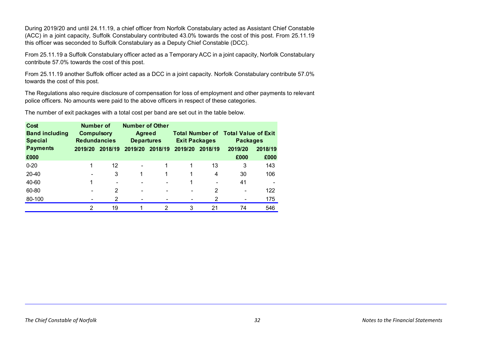During 2019/20 and until 24.11.19, a chief officer from Norfolk Constabulary acted as Assistant Chief Constable (ACC) in a joint capacity, Suffolk Constabulary contributed 43.0% towards the cost of this post. From 25.11.19 this officer was seconded to Suffolk Constabulary as a Deputy Chief Constable (DCC).

From 25.11.19 a Suffolk Constabulary officer acted as a Temporary ACC in a joint capacity, Norfolk Constabulary contribute 57.0% towards the cost of this post.

From 25.11.19 another Suffolk officer acted as a DCC in a joint capacity. Norfolk Constabulary contribute 57.0% towards the cost of this post.

The Regulations also require disclosure of compensation for loss of employment and other payments to relevant police officers. No amounts were paid to the above officers in respect of these categories.

The number of exit packages with a total cost per band are set out in the table below.

| Cost                  | <b>Number of</b>    |                          | <b>Number of Other</b>                                       |                 |                    |                                            |         |         |
|-----------------------|---------------------|--------------------------|--------------------------------------------------------------|-----------------|--------------------|--------------------------------------------|---------|---------|
| <b>Band including</b> | <b>Compulsory</b>   |                          | <b>Agreed</b>                                                |                 |                    | <b>Total Number of Total Value of Exit</b> |         |         |
| <b>Special</b>        | <b>Redundancies</b> |                          | <b>Departures</b><br><b>Exit Packages</b><br><b>Packages</b> |                 |                    |                                            |         |         |
| <b>Payments</b>       | 2019/20             | 2018/19                  |                                                              | 2019/20 2018/19 | 2019/20<br>2018/19 |                                            | 2019/20 | 2018/19 |
| £000                  |                     |                          |                                                              |                 |                    |                                            | £000    | £000    |
| $0 - 20$              |                     | 12                       | ۰                                                            |                 |                    | 13                                         | 3       | 143     |
| 20-40                 |                     | 3                        |                                                              |                 |                    | 4                                          | 30      | 106     |
| 40-60                 |                     | $\overline{\phantom{0}}$ | $\overline{\phantom{0}}$                                     |                 |                    | ۰                                          | 41      |         |
| 60-80                 |                     | 2                        | ۰                                                            |                 | -                  | 2                                          | ٠       | 122     |
| 80-100                |                     | 2                        | ۰                                                            |                 | ۰                  | $\overline{2}$                             | ۰       | 175     |
|                       | 2                   | 19                       |                                                              | 2               | 3                  | 21                                         | 74      | 546     |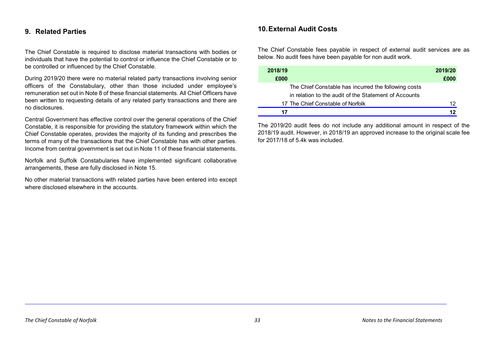# <span id="page-39-0"></span>**9. Related Parties**

The Chief Constable is required to disclose material transactions with bodies or individuals that have the potential to control or influence the Chief Constable or to be controlled or influenced by the Chief Constable.

During 2019/20 there were no material related party transactions involving senior officers of the Constabulary, other than those included under employee's remuneration set out in Note 8 of these financial statements. All Chief Officers have been written to requesting details of any related party transactions and there are no disclosures.

Central Government has effective control over the general operations of the Chief Constable, it is responsible for providing the statutory framework within which the Chief Constable operates, provides the majority of its funding and prescribes the terms of many of the transactions that the Chief Constable has with other parties. Income from central government is set out in Note 11 of these financial statements.

Norfolk and Suffolk Constabularies have implemented significant collaborative arrangements, these are fully disclosed in Note 15.

No other material transactions with related parties have been entered into except where disclosed elsewhere in the accounts.

# <span id="page-39-1"></span>**10.External Audit Costs**

The Chief Constable fees payable in respect of external audit services are as below. No audit fees have been payable for non audit work.

| 2018/19<br>£000                                       | 2019/20<br>£000 |
|-------------------------------------------------------|-----------------|
| The Chief Constable has incurred the following costs  |                 |
| in relation to the audit of the Statement of Accounts |                 |
| 17 The Chief Constable of Norfolk                     | 12              |
| 17                                                    |                 |

The 2019/20 audit fees do not include any additional amount in respect of the 2018/19 audit. However, in 2018/19 an approved increase to the original scale fee for 2017/18 of 5.4k was included.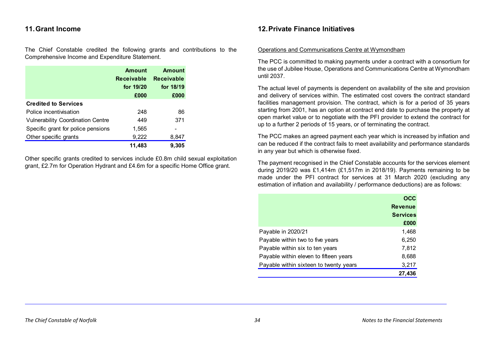# <span id="page-40-0"></span>**11.Grant Income**

The Chief Constable credited the following grants and contributions to the Comprehensive Income and Expenditure Statement.

|                                          | <b>Amount</b><br><b>Receivable</b><br>for 19/20<br>£000 | <b>Amount</b><br><b>Receivable</b><br>for 18/19<br>£000 |
|------------------------------------------|---------------------------------------------------------|---------------------------------------------------------|
| <b>Credited to Services</b>              |                                                         |                                                         |
| Police incentivisation                   | 248                                                     | 86                                                      |
| <b>Vulnerability Coordination Centre</b> | 449                                                     | 371                                                     |
| Specific grant for police pensions       | 1,565                                                   |                                                         |
| Other specific grants                    | 9,222                                                   | 8,847                                                   |
|                                          | 11.483                                                  | 9.305                                                   |

Other specific grants credited to services include £0.8m child sexual exploitation grant, £2.7m for Operation Hydrant and £4.6m for a specific Home Office grant.

# <span id="page-40-1"></span>**12.Private Finance Initiatives**

## Operations and Communications Centre at Wymondham

The PCC is committed to making payments under a contract with a consortium for the use of Jubilee House, Operations and Communications Centre at Wymondham until 2037.

The actual level of payments is dependent on availability of the site and provision and delivery of services within. The estimated cost covers the contract standard facilities management provision. The contract, which is for a period of 35 years starting from 2001, has an option at contract end date to purchase the property at open market value or to negotiate with the PFI provider to extend the contract for up to a further 2 periods of 15 years, or of terminating the contract.

The PCC makes an agreed payment each year which is increased by inflation and can be reduced if the contract fails to meet availability and performance standards in any year but which is otherwise fixed.

The payment recognised in the Chief Constable accounts for the services element during 2019/20 was £1,414m (£1,517m in 2018/19). Payments remaining to be made under the PFI contract for services at 31 March 2020 (excluding any estimation of inflation and availability / performance deductions) are as follows:

|                                        | OCC             |
|----------------------------------------|-----------------|
|                                        | <b>Revenue</b>  |
|                                        | <b>Services</b> |
|                                        | £000            |
| Payable in 2020/21                     | 1,468           |
| Payable within two to five years       | 6,250           |
| Payable within six to ten years        | 7,812           |
| Payable within eleven to fifteen years | 8,688           |
| Payable within sixteen to twenty years | 3,217           |
|                                        | 27,436          |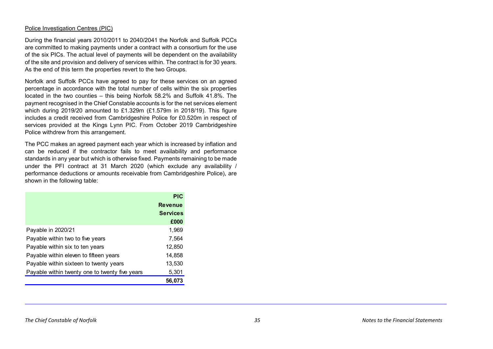#### Police Investigation Centres (PIC)

During the financial years 2010/2011 to 2040/2041 the Norfolk and Suffolk PCCs are committed to making payments under a contract with a consortium for the use of the six PICs. The actual level of payments will be dependent on the availability of the site and provision and delivery of services within. The contract is for 30 years. As the end of this term the properties revert to the two Groups.

Norfolk and Suffolk PCCs have agreed to pay for these services on an agreed percentage in accordance with the total number of cells within the six properties located in the two counties – this being Norfolk 58.2% and Suffolk 41.8%. The payment recognised in the Chief Constable accounts is for the net services element which during 2019/20 amounted to £1.329m (£1.579m in 2018/19). This figure includes a credit received from Cambridgeshire Police for £0.520m in respect of services provided at the Kings Lynn PIC. From October 2019 Cambridgeshire Police withdrew from this arrangement.

The PCC makes an agreed payment each year which is increased by inflation and can be reduced if the contractor fails to meet availability and performance standards in any year but which is otherwise fixed. Payments remaining to be made under the PFI contract at 31 March 2020 (which exclude any availability / performance deductions or amounts receivable from Cambridgeshire Police), are shown in the following table:

|                                                | <b>PIC</b>      |
|------------------------------------------------|-----------------|
|                                                | <b>Revenue</b>  |
|                                                | <b>Services</b> |
|                                                | £000            |
| Payable in 2020/21                             | 1,969           |
| Payable within two to five years               | 7,564           |
| Payable within six to ten years                | 12,850          |
| Payable within eleven to fifteen years         | 14,858          |
| Payable within sixteen to twenty years         | 13,530          |
| Payable within twenty one to twenty five years | 5,301           |
|                                                | 56.073          |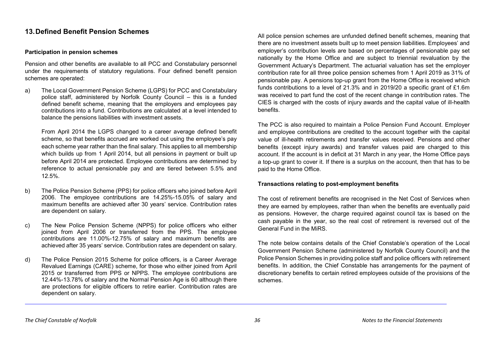# <span id="page-42-0"></span>**13.Defined Benefit Pension Schemes**

# **Participation in pension schemes**

Pension and other benefits are available to all PCC and Constabulary personnel under the requirements of statutory regulations. Four defined benefit pension schemes are operated:

a) The Local Government Pension Scheme (LGPS) for PCC and Constabulary police staff, administered by Norfolk County Council – this is a funded defined benefit scheme, meaning that the employers and employees pay contributions into a fund. Contributions are calculated at a level intended to balance the pensions liabilities with investment assets.

From April 2014 the LGPS changed to a career average defined benefit scheme, so that benefits accrued are worked out using the employee's pay each scheme year rather than the final salary. This applies to all membership which builds up from 1 April 2014, but all pensions in payment or built up before April 2014 are protected. Employee contributions are determined by reference to actual pensionable pay and are tiered between 5.5% and 12.5%.

- b) The Police Pension Scheme (PPS) for police officers who joined before April 2006. The employee contributions are 14.25%-15.05% of salary and maximum benefits are achieved after 30 years' service. Contribution rates are dependent on salary.
- c) The New Police Pension Scheme (NPPS) for police officers who either joined from April 2006 or transferred from the PPS. The employee contributions are 11.00%-12.75% of salary and maximum benefits are achieved after 35 years' service. Contribution rates are dependent on salary.
- d) The Police Pension 2015 Scheme for police officers, is a Career Average Revalued Earnings (CARE) scheme, for those who either joined from April 2015 or transferred from PPS or NPPS. The employee contributions are 12.44%-13.78% of salary and the Normal Pension Age is 60 although there are protections for eligible officers to retire earlier. Contribution rates are dependent on salary.

All police pension schemes are unfunded defined benefit schemes, meaning that there are no investment assets built up to meet pension liabilities. Employees' and employer's contribution levels are based on percentages of pensionable pay set nationally by the Home Office and are subject to triennial revaluation by the Government Actuary's Department. The actuarial valuation has set the employer contribution rate for all three police pension schemes from 1 April 2019 as 31% of pensionable pay. A pensions top-up grant from the Home Office is received which funds contributions to a level of 21.3% and in 2019/20 a specific grant of £1.6m was received to part fund the cost of the recent change in contribution rates. The CIES is charged with the costs of injury awards and the capital value of ill-health benefits.

The PCC is also required to maintain a Police Pension Fund Account. Employer and employee contributions are credited to the account together with the capital value of ill-health retirements and transfer values received. Pensions and other benefits (except injury awards) and transfer values paid are charged to this account. If the account is in deficit at 31 March in any year, the Home Office pays a top-up grant to cover it. If there is a surplus on the account, then that has to be paid to the Home Office.

## **Transactions relating to post-employment benefits**

The cost of retirement benefits are recognised in the Net Cost of Services when they are earned by employees, rather than when the benefits are eventually paid as pensions. However, the charge required against council tax is based on the cash payable in the year, so the real cost of retirement is reversed out of the General Fund in the MiRS.

The note below contains details of the Chief Constable's operation of the Local Government Pension Scheme (administered by Norfolk County Council) and the Police Pension Schemes in providing police staff and police officers with retirement benefits. In addition, the Chief Constable has arrangements for the payment of discretionary benefits to certain retired employees outside of the provisions of the schemes.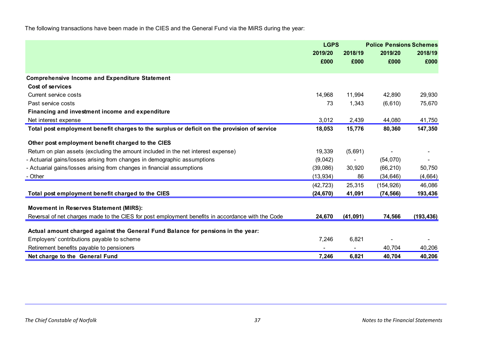The following transactions have been made in the CIES and the General Fund via the MiRS during the year:

|                                                                                                   | <b>LGPS</b> |                          | <b>Police Pensions Schemes</b> |            |  |
|---------------------------------------------------------------------------------------------------|-------------|--------------------------|--------------------------------|------------|--|
|                                                                                                   | 2019/20     | 2018/19                  | 2019/20                        | 2018/19    |  |
|                                                                                                   | £000        | £000                     | £000                           | £000       |  |
| <b>Comprehensive Income and Expenditure Statement</b>                                             |             |                          |                                |            |  |
| Cost of services                                                                                  |             |                          |                                |            |  |
| Current service costs                                                                             | 14,968      | 11,994                   | 42,890                         | 29,930     |  |
| Past service costs                                                                                | 73          | 1,343                    | (6, 610)                       | 75,670     |  |
| Financing and investment income and expenditure                                                   |             |                          |                                |            |  |
| Net interest expense                                                                              | 3,012       | 2,439                    | 44,080                         | 41,750     |  |
| Total post employment benefit charges to the surplus or deficit on the provision of service       | 18,053      | 15,776                   | 80,360                         | 147,350    |  |
| Other post employment benefit charged to the CIES                                                 |             |                          |                                |            |  |
| Return on plan assets (excluding the amount included in the net interest expense)                 | 19,339      | (5,691)                  |                                |            |  |
| - Actuarial gains/losses arising from changes in demographic assumptions                          | (9,042)     | $\overline{\phantom{0}}$ | (54,070)                       |            |  |
| - Actuarial gains/losses arising from changes in financial assumptions                            | (39,086)    | 30,920                   | (66, 210)                      | 50,750     |  |
| - Other                                                                                           | (13, 934)   | 86                       | (34, 646)                      | (4,664)    |  |
|                                                                                                   | (42, 723)   | 25,315                   | (154, 926)                     | 46,086     |  |
| Total post employment benefit charged to the CIES                                                 | (24, 670)   | 41,091                   | (74, 566)                      | 193,436    |  |
| <b>Movement in Reserves Statement (MIRS):</b>                                                     |             |                          |                                |            |  |
| Reversal of net charges made to the CIES for post employment benefits in accordance with the Code | 24,670      | (41, 091)                | 74,566                         | (193, 436) |  |
| Actual amount charged against the General Fund Balance for pensions in the year:                  |             |                          |                                |            |  |
| Employers' contributions payable to scheme                                                        | 7,246       | 6,821                    |                                |            |  |
| Retirement benefits payable to pensioners                                                         |             | $\sim$                   | 40,704                         | 40,206     |  |
| Net charge to the General Fund                                                                    | 7,246       | 6,821                    | 40,704                         | 40,206     |  |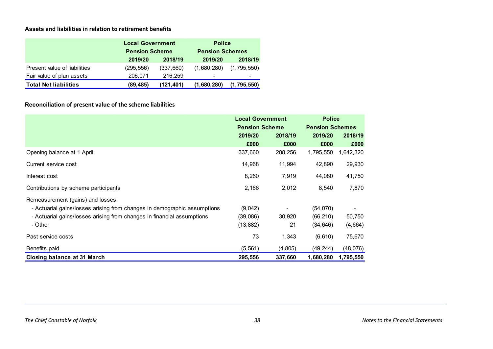# **Assets and liabilities in relation to retirement benefits**

|                              | <b>Local Government</b> |           | <b>Police</b>          |             |  |
|------------------------------|-------------------------|-----------|------------------------|-------------|--|
|                              | <b>Pension Scheme</b>   |           | <b>Pension Schemes</b> |             |  |
|                              | 2019/20                 | 2018/19   | 2019/20                | 2018/19     |  |
| Present value of liabilities | (295, 556)              | (337,660) | (1,680,280)            | (1,795,550) |  |
| Fair value of plan assets    | 206,071                 | 216.259   | -                      |             |  |
| <b>Total Net liabilities</b> | (89,485)                | (121,401) | (1,680,280)            | (1,795,550) |  |

# **Reconciliation of present value of the scheme liabilities**

|                                                                          | <b>Local Government</b><br><b>Pension Scheme</b> |         | <b>Police</b><br><b>Pension Schemes</b> |           |
|--------------------------------------------------------------------------|--------------------------------------------------|---------|-----------------------------------------|-----------|
|                                                                          |                                                  |         |                                         |           |
|                                                                          | 2019/20                                          | 2018/19 | 2019/20                                 | 2018/19   |
|                                                                          | £000                                             | £000    | £000                                    | £000      |
| Opening balance at 1 April                                               | 337,660                                          | 288,256 | 1,795,550                               | 1,642,320 |
| Current service cost                                                     | 14,968                                           | 11,994  | 42,890                                  | 29,930    |
| Interest cost                                                            | 8,260                                            | 7,919   | 44,080                                  | 41,750    |
| Contributions by scheme participants                                     | 2,166                                            | 2,012   | 8,540                                   | 7,870     |
| Remeasurement (gains) and losses:                                        |                                                  |         |                                         |           |
| - Actuarial gains/losses arising from changes in demographic assumptions | (9,042)                                          |         | (54,070)                                |           |
| - Actuarial gains/losses arising from changes in financial assumptions   | (39,086)                                         | 30,920  | (66, 210)                               | 50,750    |
| - Other                                                                  | (13, 882)                                        | 21      | (34, 646)                               | (4,664)   |
| Past service costs                                                       | 73                                               | 1,343   | (6,610)                                 | 75,670    |
| Benefits paid                                                            | (5, 561)                                         | (4,805) | (49, 244)                               | (48,076)  |
| Closing balance at 31 March                                              | 295,556                                          | 337,660 | 1,680,280                               | 1,795,550 |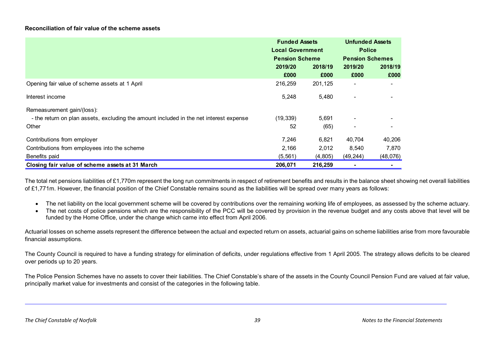## **Reconciliation of fair value of the scheme assets**

|                                                                                        | <b>Funded Assets</b><br><b>Local Government</b><br><b>Pension Scheme</b> |         | <b>Unfunded Assets</b><br><b>Police</b><br><b>Pension Schemes</b> |          |
|----------------------------------------------------------------------------------------|--------------------------------------------------------------------------|---------|-------------------------------------------------------------------|----------|
|                                                                                        | 2019/20                                                                  | 2018/19 | 2019/20                                                           | 2018/19  |
|                                                                                        | £000                                                                     | £000    | £000                                                              | £000     |
| Opening fair value of scheme assets at 1 April                                         | 216,259                                                                  | 201,125 |                                                                   | ۰        |
| Interest income                                                                        | 5,248                                                                    | 5,480   |                                                                   |          |
| Remeasurement gain/(loss):                                                             |                                                                          |         |                                                                   |          |
| - the return on plan assets, excluding the amount included in the net interest expense | (19, 339)                                                                | 5,691   |                                                                   |          |
| Other                                                                                  | 52                                                                       | (65)    |                                                                   |          |
| Contributions from employer                                                            | 7,246                                                                    | 6,821   | 40.704                                                            | 40,206   |
| Contributions from employees into the scheme                                           | 2,166                                                                    | 2,012   | 8,540                                                             | 7,870    |
| Benefits paid                                                                          | (5, 561)                                                                 | (4,805) | (49, 244)                                                         | (48,076) |
| Closing fair value of scheme assets at 31 March                                        | 206,071                                                                  | 216,259 |                                                                   |          |

The total net pensions liabilities of £1,770m represent the long run commitments in respect of retirement benefits and results in the balance sheet showing net overall liabilities of £1,771m. However, the financial position of the Chief Constable remains sound as the liabilities will be spread over many years as follows:

- The net liability on the local government scheme will be covered by contributions over the remaining working life of employees, as assessed by the scheme actuary.
- The net costs of police pensions which are the responsibility of the PCC will be covered by provision in the revenue budget and any costs above that level will be funded by the Home Office, under the change which came into effect from April 2006.

Actuarial losses on scheme assets represent the difference between the actual and expected return on assets, actuarial gains on scheme liabilities arise from more favourable financial assumptions.

The County Council is required to have a funding strategy for elimination of deficits, under regulations effective from 1 April 2005. The strategy allows deficits to be cleared over periods up to 20 years.

The Police Pension Schemes have no assets to cover their liabilities. The Chief Constable's share of the assets in the County Council Pension Fund are valued at fair value, principally market value for investments and consist of the categories in the following table.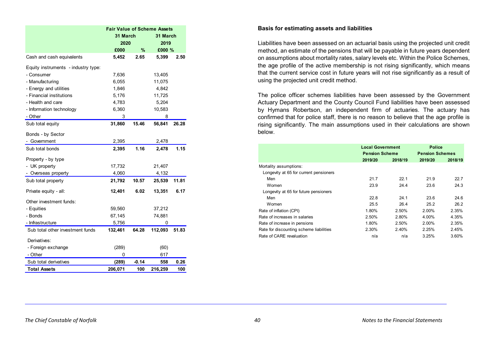|                                     | <b>Fair Value of Scheme Assets</b> |         |          |       |  |
|-------------------------------------|------------------------------------|---------|----------|-------|--|
|                                     | 31 March                           |         | 31 March |       |  |
|                                     | 2020                               |         | 2019     |       |  |
|                                     | £000                               | %       | £000 %   |       |  |
| Cash and cash equivalents           | 5,452                              | 2.65    | 5,399    | 2.50  |  |
| Equity instruments - industry type: |                                    |         |          |       |  |
| - Consumer                          | 7,636                              |         | 13,405   |       |  |
| - Manufacturing                     | 6,055                              |         | 11,075   |       |  |
| - Energy and utilities              | 1,846                              |         | 4,842    |       |  |
| - Financial institutions            | 5,176                              |         | 11,725   |       |  |
| - Health and care                   | 4,783                              |         | 5,204    |       |  |
| - Information technology            | 6,360                              |         | 10,583   |       |  |
| - Other                             | 3                                  |         | 8        |       |  |
| Sub total equity                    | 31,860                             | 15.46   | 56,841   | 26.28 |  |
| Bonds - by Sector                   |                                    |         |          |       |  |
| - Government                        | 2,395                              |         | 2,478    |       |  |
| Sub total bonds                     | 2,395                              | 1.16    | 2,478    | 1.15  |  |
| Property - by type                  |                                    |         |          |       |  |
| - UK property                       | 17,732                             |         | 21,407   |       |  |
| - Overseas property                 | 4,060                              |         | 4,132    |       |  |
| Sub total property                  | 21,792                             | 10.57   | 25,539   | 11.81 |  |
| Private equity - all:               | 12,401                             | 6.02    | 13,351   | 6.17  |  |
| Other investment funds:             |                                    |         |          |       |  |
| - Equities                          | 59,560                             |         | 37,212   |       |  |
| - Bonds                             | 67,145                             |         | 74,881   |       |  |
| - Infrastructure                    | 5,756                              |         | 0        |       |  |
| Sub total other investment funds    | 132,461                            | 64.28   | 112,093  | 51.83 |  |
| Derivatives:                        |                                    |         |          |       |  |
| - Foreign exchange                  | (289)                              |         | (60)     |       |  |
| - Other                             | 0                                  |         | 617      |       |  |
| Sub total derivatives               | (289)                              | $-0.14$ | 558      | 0.26  |  |
| <b>Total Assets</b>                 | 206,071                            | 100     | 216,259  | 100   |  |

#### **Basis for estimating assets and liabilities**

Liabilities have been assessed on an actuarial basis using the projected unit credit method, an estimate of the pensions that will be payable in future years dependent on assumptions about mortality rates, salary levels etc. Within the Police Schemes, the age profile of the active membership is not rising significantly, which means that the current service cost in future years will not rise significantly as a result of using the projected unit credit method.

The police officer schemes liabilities have been assessed by the Government Actuary Department and the County Council Fund liabilities have been assessed by Hymans Robertson, an independent firm of actuaries. The actuary has confirmed that for police staff, there is no reason to believe that the age profile is rising significantly. The main assumptions used in their calculations are shown below.

|                                         | <b>Local Government</b><br><b>Pension Scheme</b> |         | <b>Police</b><br><b>Pension Schemes</b> |         |
|-----------------------------------------|--------------------------------------------------|---------|-----------------------------------------|---------|
|                                         | 2019/20                                          | 2018/19 | 2019/20                                 | 2018/19 |
| Mortality assumptions:                  |                                                  |         |                                         |         |
| Longevity at 65 for current pensioners  |                                                  |         |                                         |         |
| Men                                     | 21.7                                             | 22.1    | 21.9                                    | 22.7    |
| Women                                   | 23.9                                             | 24.4    | 23.6                                    | 24.3    |
| Longevity at 65 for future pensioners   |                                                  |         |                                         |         |
| Men                                     | 22.8                                             | 24.1    | 23.6                                    | 24.6    |
| Women                                   | 25.5                                             | 26.4    | 25.2                                    | 26.2    |
| Rate of inflation (CPI)                 | 1.80%                                            | 2.50%   | 2.00%                                   | 2.35%   |
| Rate of increases in salaries           | 2.50%                                            | 2.80%   | 4.00%                                   | 4.35%   |
| Rate of increase in pensions            | 1.80%                                            | 2.50%   | 2.00%                                   | 2.35%   |
| Rate for discounting scheme liabilities | 2.30%                                            | 2.40%   | 2.25%                                   | 2.45%   |
| Rate of CARE revaluation                | n/a                                              | n/a     | 3.25%                                   | 3.60%   |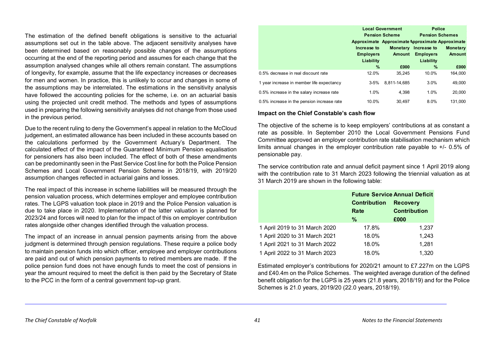The estimation of the defined benefit obligations is sensitive to the actuarial assumptions set out in the table above. The adjacent sensitivity analyses have been determined based on reasonably possible changes of the assumptions occurring at the end of the reporting period and assumes for each change that the assumption analysed changes while all others remain constant. The assumptions of longevity, for example, assume that the life expectancy increases or decreases for men and women. In practice, this is unlikely to occur and changes in some of the assumptions may be interrelated. The estimations in the sensitivity analysis have followed the accounting policies for the scheme, i.e. on an actuarial basis using the projected unit credit method. The methods and types of assumptions used in preparing the following sensitivity analyses did not change from those used in the previous period.

Due to the recent ruling to deny the Government's appeal in relation to the McCloud judgement, an estimated allowance has been included in these accounts based on the calculations performed by the Government Actuary's Department. The calculated effect of the impact of the Guaranteed Minimum Pension equalisation for pensioners has also been included. The effect of both of these amendments can be predominantly seen in the Past Service Cost line for both the Police Pension Schemes and Local Government Pension Scheme in 2018/19, with 2019/20 assumption changes reflected in actuarial gains and losses.

The real impact of this increase in scheme liabilities will be measured through the pension valuation process, which determines employer and employee contribution rates. The LGPS valuation took place in 2019 and the Police Pension valuation is due to take place in 2020. Implementation of the latter valuation is planned for 2023/24 and forces will need to plan for the impact of this on employer contribution rates alongside other changes identified through the valuation process.

The impact of an increase in annual pension payments arising from the above judgment is determined through pension regulations. These require a police body to maintain pension funds into which officer, employee and employer contributions are paid and out of which pension payments to retired members are made. If the police pension fund does not have enough funds to meet the cost of pensions in year the amount required to meet the deficit is then paid by the Secretary of State to the PCC in the form of a central government top-up grant.

|                                            |                  | <b>Local Government</b>                         | <b>Police</b>          |                 |
|--------------------------------------------|------------------|-------------------------------------------------|------------------------|-----------------|
|                                            |                  | <b>Pension Scheme</b>                           | <b>Pension Schemes</b> |                 |
|                                            |                  | Approximate Approximate Approximate Approximate |                        |                 |
|                                            | Increase to      | <b>Monetary</b>                                 | Increase to            | <b>Monetary</b> |
|                                            | <b>Employers</b> | <b>Amount</b>                                   | <b>Employers</b>       | <b>Amount</b>   |
|                                            | Liability        |                                                 | Liability              |                 |
|                                            | $\%$             | £000                                            | $\%$                   | £000            |
| 0.5% decrease in real discount rate        | 12.0%            | 35.245                                          | 10.0%                  | 164,000         |
| 1 year increase in member life expectancy  | $3 - 5%$         | 8.811-14.685                                    | 3.0%                   | 49,000          |
| 0.5% increase in the salary increase rate  | 1.0%             | 4.398                                           | 1.0%                   | 20,000          |
| 0.5% increase in the pension increase rate | 10.0%            | 30.497                                          | 8.0%                   | 131.000         |

#### **Impact on the Chief Constable's cash flow**

The objective of the scheme is to keep employers' contributions at as constant a rate as possible. In September 2010 the Local Government Pensions Fund Committee approved an employer contribution rate stabilisation mechanism which limits annual changes in the employer contribution rate payable to +/- 0.5% of pensionable pay.

The service contribution rate and annual deficit payment since 1 April 2019 along with the contribution rate to 31 March 2023 following the triennial valuation as at 31 March 2019 are shown in the following table:

|                               | <b>Future Service Annual Deficit</b><br><b>Contribution</b><br><b>Recovery</b> |                     |
|-------------------------------|--------------------------------------------------------------------------------|---------------------|
|                               |                                                                                |                     |
|                               | Rate                                                                           | <b>Contribution</b> |
|                               | $\%$                                                                           | £000                |
| 1 April 2019 to 31 March 2020 | 17.8%                                                                          | 1,237               |
| 1 April 2020 to 31 March 2021 | 18.0%                                                                          | 1,243               |
| 1 April 2021 to 31 March 2022 | 18.0%                                                                          | 1,281               |
| 1 April 2022 to 31 March 2023 | 18.0%                                                                          | 1,320               |

Estimated employer's contributions for 2020/21 amount to £7.227m on the LGPS and £40.4m on the Police Schemes. The weighted average duration of the defined benefit obligation for the LGPS is 25 years (21.8 years, 2018/19) and for the Police Schemes is 21.0 years, 2019/20 (22.0 years, 2018/19).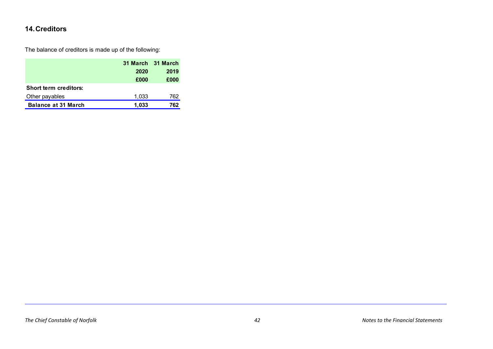# <span id="page-48-0"></span>**14.Creditors**

The balance of creditors is made up of the following:

|                              | 31 March 31 March |      |
|------------------------------|-------------------|------|
|                              | 2020              | 2019 |
|                              | £000              | £000 |
| <b>Short term creditors:</b> |                   |      |
| Other payables               | 1,033             | 762  |
| <b>Balance at 31 March</b>   | 1.033             | 762  |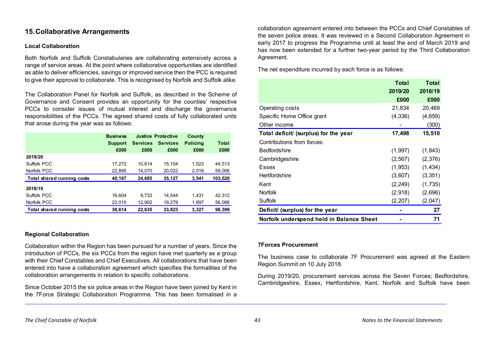# <span id="page-49-0"></span>**15.Collaborative Arrangements**

# **Local Collaboration**

Both Norfolk and Suffolk Constabularies are collaborating extensively across a range of service areas. At the point where collaborative opportunities are identified as able to deliver efficiencies, savings or improved service then the PCC is required to give their approval to collaborate. This is recognised by Norfolk and Suffolk alike.

The Collaboration Panel for Norfolk and Suffolk, as described in the Scheme of Governance and Consent provides an opportunity for the counties' respective PCCs to consider issues of mutual interest and discharge the governance responsibilities of the PCCs. The agreed shared costs of fully collaborated units that arose during the year was as follows:

|                            | <b>Business</b> |                 | <b>Justice Protective</b> | County          |              |
|----------------------------|-----------------|-----------------|---------------------------|-----------------|--------------|
|                            | <b>Support</b>  | <b>Services</b> | <b>Services</b>           | <b>Policing</b> | <b>Total</b> |
|                            | £000            | £000            | £000                      | £000            | £000         |
| 2019/20                    |                 |                 |                           |                 |              |
| Suffolk PCC                | 17,272          | 10.614          | 15.104                    | 1.523           | 44.513       |
| Norfolk PCC                | 22,895          | 14,070          | 20,022                    | 2,018           | 59,006       |
| Total shared running costs | 40,167          | 24,685          | 35.127                    | 3.541           | 103,520      |
| 2018/19                    |                 |                 |                           |                 |              |
| Suffolk PCC                | 16.604          | 9.733           | 14.544                    | 1.431           | 42.312       |
| Norfolk PCC                | 22,010          | 12,902          | 19,279                    | 1,897           | 56,088       |
| Total shared running costs | 38.614          | 22,635          | 33.823                    | 3.327           | 98.399       |

# **Regional Collaboration**

Collaboration within the Region has been pursued for a number of years. Since the introduction of PCCs, the six PCCs from the region have met quarterly as a group with their Chief Constables and Chief Executives. All collaborations that have been entered into have a collaboration agreement which specifies the formalities of the collaboration arrangements in relation to specific collaborations.

Since October 2015 the six police areas in the Region have been joined by Kent in the 7Force Strategic Collaboration Programme. This has been formalised in a

collaboration agreement entered into between the PCCs and Chief Constables of the seven police areas. It was reviewed in a Second Collaboration Agreement in early 2017 to progress the Programme until at least the end of March 2019 and has now been extended for a further two-year period by the Third Collaboration Agreement.

The net expenditure incurred by each force is as follows:

|                                          | <b>Total</b> | <b>Total</b> |
|------------------------------------------|--------------|--------------|
|                                          | 2019/20      | 2018/19      |
|                                          | £000         | £000         |
| Operating costs                          | 21,834       | 20,469       |
| Specific Home Office grant               | (4, 336)     | (4,659)      |
| Other income                             |              | (300)        |
| Total deficit/ (surplus) for the year    | 17,498       | 15,510       |
| Contributions from forces:               |              |              |
| <b>Bedfordshire</b>                      | (1,997)      | (1,843)      |
| Cambridgeshire                           | (2, 567)     | (2,376)      |
| <b>Essex</b>                             | (1,953)      | (1, 434)     |
| Hertfordshire                            | (3,607)      | (3, 351)     |
| Kent                                     | (2, 249)     | (1,735)      |
| <b>Norfolk</b>                           | (2,918)      | (2,696)      |
| Suffolk                                  | (2, 207)     | (2,047)      |
| Deficit/ (surplus) for the year          |              | 27           |
| Norfolk underspend held in Balance Sheet |              | 71           |

# **7Forces Procurement**

The business case to collaborate 7F Procurement was agreed at the Eastern Region Summit on 10 July 2018.

During 2019/20, procurement services across the Seven Forces; Bedfordshire, Cambridgeshire, Essex, Hertfordshire, Kent, Norfolk and Suffolk have been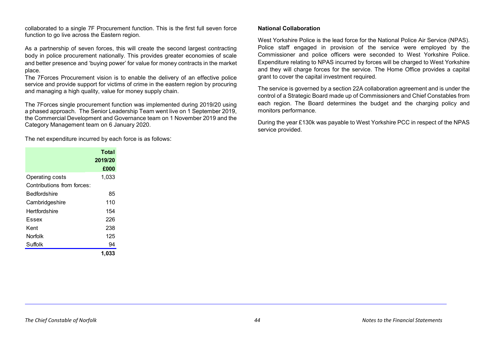collaborated to a single 7F Procurement function. This is the first full seven force function to go live across the Eastern region.

As a partnership of seven forces, this will create the second largest contracting body in police procurement nationally. This provides greater economies of scale and better presence and 'buying power' for value for money contracts in the market place.

The 7Forces Procurement vision is to enable the delivery of an effective police service and provide support for victims of crime in the eastern region by procuring and managing a high quality, value for money supply chain.

The 7Forces single procurement function was implemented during 2019/20 using a phased approach. The Senior Leadership Team went live on 1 September 2019, the Commercial Development and Governance team on 1 November 2019 and the Category Management team on 6 January 2020.

The net expenditure incurred by each force is as follows:

|                            | Total   |
|----------------------------|---------|
|                            | 2019/20 |
|                            | £000    |
| Operating costs            | 1,033   |
| Contributions from forces: |         |
| Bedfordshire               | 85      |
| Cambridgeshire             | 110     |
| Hertfordshire              | 154     |
| Essex                      | 226     |
| Kent                       | 238     |
| <b>Norfolk</b>             | 125     |
| Suffolk                    | 94      |
|                            | 1,033   |

#### **National Collaboration**

West Yorkshire Police is the lead force for the National Police Air Service (NPAS). Police staff engaged in provision of the service were employed by the Commissioner and police officers were seconded to West Yorkshire Police. Expenditure relating to NPAS incurred by forces will be charged to West Yorkshire and they will charge forces for the service. The Home Office provides a capital grant to cover the capital investment required.

The service is governed by a section 22A collaboration agreement and is under the control of a Strategic Board made up of Commissioners and Chief Constables from each region. The Board determines the budget and the charging policy and monitors performance.

During the year £130k was payable to West Yorkshire PCC in respect of the NPAS service provided.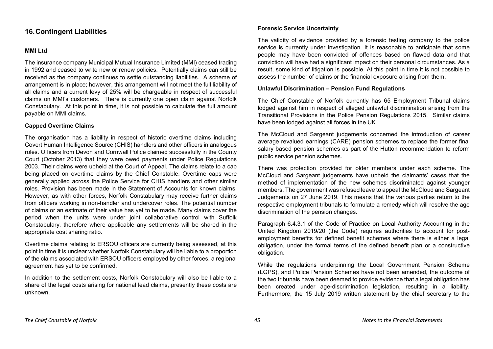# <span id="page-51-0"></span>**16.Contingent Liabilities**

# **MMI Ltd**

The insurance company Municipal Mutual Insurance Limited (MMI) ceased trading in 1992 and ceased to write new or renew policies. Potentially claims can still be received as the company continues to settle outstanding liabilities. A scheme of arrangement is in place; however, this arrangement will not meet the full liability of all claims and a current levy of 25% will be chargeable in respect of successful claims on MMI's customers. There is currently one open claim against Norfolk Constabulary. At this point in time, it is not possible to calculate the full amount payable on MMI claims.

## **Capped Overtime Claims**

The organisation has a liability in respect of historic overtime claims including Covert Human Intelligence Source (CHIS) handlers and other officers in analogous roles. Officers from Devon and Cornwall Police claimed successfully in the County Court (October 2013) that they were owed payments under Police Regulations 2003. Their claims were upheld at the Court of Appeal. The claims relate to a cap being placed on overtime claims by the Chief Constable. Overtime caps were generally applied across the Police Service for CHIS handlers and other similar roles. Provision has been made in the Statement of Accounts for known claims. However, as with other forces, Norfolk Constabulary may receive further claims from officers working in non-handler and undercover roles. The potential number of claims or an estimate of their value has yet to be made. Many claims cover the period when the units were under joint collaborative control with Suffolk Constabulary, therefore where applicable any settlements will be shared in the appropriate cost sharing ratio.

Overtime claims relating to ERSOU officers are currently being assessed, at this point in time it is unclear whether Norfolk Constabulary will be liable to a proportion of the claims associated with ERSOU officers employed by other forces, a regional agreement has yet to be confirmed.

In addition to the settlement costs, Norfolk Constabulary will also be liable to a share of the legal costs arising for national lead claims, presently these costs are unknown.

## **Forensic Service Uncertainty**

The validity of evidence provided by a forensic testing company to the police service is currently under investigation. It is reasonable to anticipate that some people may have been convicted of offences based on flawed data and that conviction will have had a significant impact on their personal circumstances. As a result, some kind of litigation is possible. At this point in time it is not possible to assess the number of claims or the financial exposure arising from them.

#### **Unlawful Discrimination – Pension Fund Regulations**

The Chief Constable of Norfolk currently has 65 Employment Tribunal claims lodged against him in respect of alleged unlawful discrimination arising from the Transitional Provisions in the Police Pension Regulations 2015. Similar claims have been lodged against all forces in the UK.

The McCloud and Sargeant judgements concerned the introduction of career average revalued earnings (CARE) pension schemes to replace the former final salary based pension schemes as part of the Hutton recommendation to reform public service pension schemes.

There was protection provided for older members under each scheme. The McCloud and Sargeant judgements have upheld the claimants' cases that the method of implementation of the new schemes discriminated against younger members. The government was refused leave to appeal the McCloud and Sargeant Judgements on 27 June 2019. This means that the various parties return to the respective employment tribunals to formulate a remedy which will resolve the age discrimination of the pension changes.

Paragraph 6.4.3.1 of the Code of Practice on Local Authority Accounting in the United Kingdom 2019/20 (the Code) requires authorities to account for postemployment benefits for defined benefit schemes where there is either a legal obligation, under the formal terms of the defined benefit plan or a constructive obligation.

While the regulations underpinning the Local Government Pension Scheme (LGPS), and Police Pension Schemes have not been amended, the outcome of the two tribunals have been deemed to provide evidence that a legal obligation has been created under age-discrimination legislation, resulting in a liability. Furthermore, the 15 July 2019 written statement by the chief secretary to the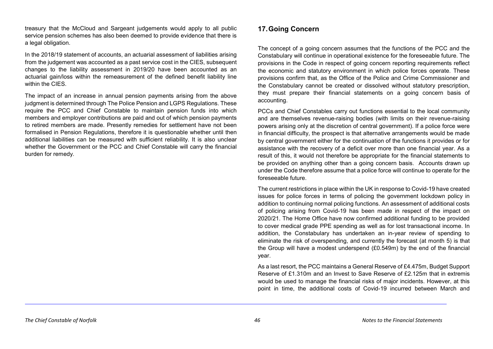treasury that the McCloud and Sargeant judgements would apply to all public service pension schemes has also been deemed to provide evidence that there is a legal obligation.

In the 2018/19 statement of accounts, an actuarial assessment of liabilities arising from the judgement was accounted as a past service cost in the CIES, subsequent changes to the liability assessment in 2019/20 have been accounted as an actuarial gain/loss within the remeasurement of the defined benefit liability line within the CIES.

The impact of an increase in annual pension payments arising from the above judgment is determined through The Police Pension and LGPS Regulations. These require the PCC and Chief Constable to maintain pension funds into which members and employer contributions are paid and out of which pension payments to retired members are made. Presently remedies for settlement have not been formalised in Pension Regulations, therefore it is questionable whether until then additional liabilities can be measured with sufficient reliability. It is also unclear whether the Government or the PCC and Chief Constable will carry the financial burden for remedy.

# <span id="page-52-0"></span>**17.Going Concern**

The concept of a going concern assumes that the functions of the PCC and the Constabulary will continue in operational existence for the foreseeable future. The provisions in the Code in respect of going concern reporting requirements reflect the economic and statutory environment in which police forces operate. These provisions confirm that, as the Office of the Police and Crime Commissioner and the Constabulary cannot be created or dissolved without statutory prescription, they must prepare their financial statements on a going concern basis of accounting.

PCCs and Chief Constables carry out functions essential to the local community and are themselves revenue-raising bodies (with limits on their revenue-raising powers arising only at the discretion of central government). If a police force were in financial difficulty, the prospect is that alternative arrangements would be made by central government either for the continuation of the functions it provides or for assistance with the recovery of a deficit over more than one financial year. As a result of this, it would not therefore be appropriate for the financial statements to be provided on anything other than a going concern basis. Accounts drawn up under the Code therefore assume that a police force will continue to operate for the foreseeable future.

The current restrictions in place within the UK in response to Covid-19 have created issues for police forces in terms of policing the government lockdown policy in addition to continuing normal policing functions. An assessment of additional costs of policing arising from Covid-19 has been made in respect of the impact on 2020/21. The Home Office have now confirmed additional funding to be provided to cover medical grade PPE spending as well as for lost transactional income. In addition, the Constabulary has undertaken an in-year review of spending to eliminate the risk of overspending, and currently the forecast (at month 5) is that the Group will have a modest underspend (£0.549m) by the end of the financial year.

As a last resort, the PCC maintains a General Reserve of £4.475m, Budget Support Reserve of £1.310m and an Invest to Save Reserve of £2.125m that in extremis would be used to manage the financial risks of major incidents. However, at this point in time, the additional costs of Covid-19 incurred between March and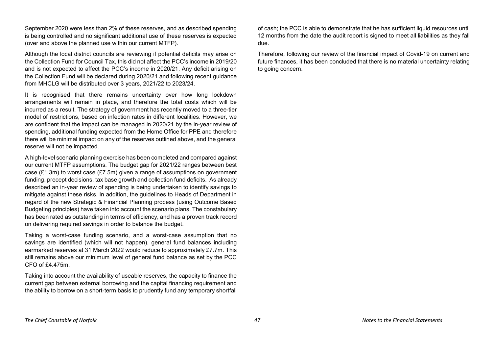September 2020 were less than 2% of these reserves, and as described spending is being controlled and no significant additional use of these reserves is expected (over and above the planned use within our current MTFP).

Although the local district councils are reviewing if potential deficits may arise on the Collection Fund for Council Tax, this did not affect the PCC's income in 2019/20 and is not expected to affect the PCC's income in 2020/21. Any deficit arising on the Collection Fund will be declared during 2020/21 and following recent guidance from MHCLG will be distributed over 3 years, 2021/22 to 2023/24.

It is recognised that there remains uncertainty over how long lockdown arrangements will remain in place, and therefore the total costs which will be incurred as a result. The strategy of government has recently moved to a three-tier model of restrictions, based on infection rates in different localities. However, we are confident that the impact can be managed in 2020/21 by the in-year review of spending, additional funding expected from the Home Office for PPE and therefore there will be minimal impact on any of the reserves outlined above, and the general reserve will not be impacted.

A high-level scenario planning exercise has been completed and compared against our current MTFP assumptions. The budget gap for 2021/22 ranges between best case (£1.3m) to worst case (£7.5m) given a range of assumptions on government funding, precept decisions, tax base growth and collection fund deficits. As already described an in-year review of spending is being undertaken to identify savings to mitigate against these risks. In addition, the guidelines to Heads of Department in regard of the new Strategic & Financial Planning process (using Outcome Based Budgeting principles) have taken into account the scenario plans. The constabulary has been rated as outstanding in terms of efficiency, and has a proven track record on delivering required savings in order to balance the budget.

Taking a worst-case funding scenario, and a worst-case assumption that no savings are identified (which will not happen), general fund balances including earmarked reserves at 31 March 2022 would reduce to approximately £7.7m. This still remains above our minimum level of general fund balance as set by the PCC CFO of £4.475m.

Taking into account the availability of useable reserves, the capacity to finance the current gap between external borrowing and the capital financing requirement and the ability to borrow on a short-term basis to prudently fund any temporary shortfall of cash; the PCC is able to demonstrate that he has sufficient liquid resources until 12 months from the date the audit report is signed to meet all liabilities as they fall due.

Therefore, following our review of the financial impact of Covid-19 on current and future finances, it has been concluded that there is no material uncertainty relating to going concern.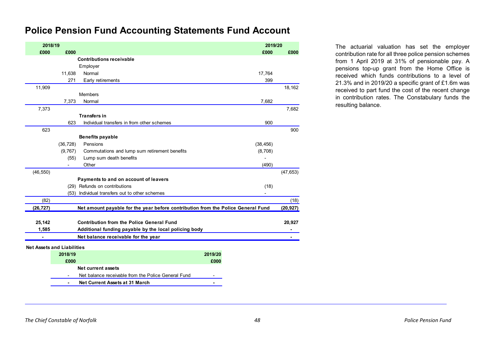# **Police Pension Fund Accounting Statements Fund Account**

| 2018/19   |                                   |                                                                                  | 2019/20        |           |
|-----------|-----------------------------------|----------------------------------------------------------------------------------|----------------|-----------|
| £000      | £000                              |                                                                                  | £000           | £000      |
|           |                                   | <b>Contributions receivable</b>                                                  |                |           |
|           |                                   | Employer                                                                         |                |           |
|           | 11,638                            | Normal                                                                           | 17,764         |           |
|           | 271                               | Early retirements                                                                | 399            |           |
| 11,909    |                                   |                                                                                  |                | 18,162    |
|           |                                   | <b>Members</b>                                                                   |                |           |
|           | 7,373                             | Normal                                                                           | 7,682          |           |
| 7,373     |                                   |                                                                                  |                | 7,682     |
|           |                                   | <b>Transfers in</b>                                                              |                |           |
|           | 623                               | Individual transfers in from other schemes                                       | 900            |           |
| 623       |                                   |                                                                                  |                | 900       |
|           |                                   | <b>Benefits payable</b>                                                          |                |           |
|           | (36, 728)                         | Pensions                                                                         | (38, 456)      |           |
|           | (9,767)                           | Commutations and lump sum retirement benefits                                    | (8,708)        |           |
|           | (55)                              | Lump sum death benefits                                                          | $\overline{a}$ |           |
|           |                                   | Other                                                                            | (490)          |           |
| (46, 550) |                                   |                                                                                  |                | (47, 653) |
|           |                                   | Payments to and on account of leavers                                            |                |           |
|           |                                   | (29) Refunds on contributions                                                    | (18)           |           |
|           | (53)                              | Individual transfers out to other schemes                                        |                |           |
| (82)      |                                   |                                                                                  |                | (18)      |
| (26, 727) |                                   | Net amount payable for the year before contribution from the Police General Fund |                | (20, 927) |
| 25,142    |                                   | <b>Contribution from the Police General Fund</b>                                 |                | 20,927    |
| 1,585     |                                   | Additional funding payable by the local policing body                            |                |           |
|           |                                   | Net balance receivable for the year                                              |                |           |
|           |                                   |                                                                                  |                |           |
|           | <b>Net Assets and Liabilities</b> |                                                                                  |                |           |
|           | 2018/19                           | 2019/20                                                                          |                |           |
|           | £000                              | £000                                                                             |                |           |
|           |                                   | <b>Net current assets</b>                                                        |                |           |
|           |                                   | Net balance receivable from the Police General Fund                              |                |           |
|           | $\sim$                            | Net Current Assets at 31 March                                                   |                |           |

**2018/19 2019/20** The actuarial valuation has set the employer contribution rate for all three police pension schemes from 1 April 2019 at 31% of pensionable pay. A pensions top-up grant from the Home Office is received which funds contributions to a level of 21.3% and in 2019/20 a specific grant of £1.6m was received to part fund the cost of the recent change in contribution rates. The Constabulary funds the resulting balance.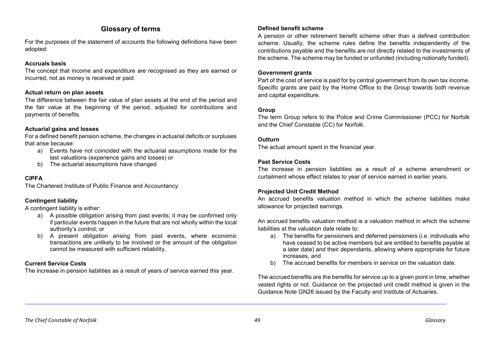# **Glossary of terms**

For the purposes of the statement of accounts the following definitions have been adopted:

# **Accruals basis**

The concept that income and expenditure are recognised as they are earned or incurred, not as money is received or paid.

# **Actual return on plan assets**

The difference between the fair value of plan assets at the end of the period and the fair value at the beginning of the period, adjusted for contributions and payments of benefits.

# **Actuarial gains and losses**

For a defined benefit pension scheme, the changes in actuarial deficits or surpluses that arise because:

- a) Events have not coincided with the actuarial assumptions made for the last valuations (experience gains and losses) or
- b) The actuarial assumptions have changed

# **CIPFA**

The Chartered Institute of Public Finance and Accountancy.

# **Contingent liability**

A contingent liability is either:

- a) A possible obligation arising from past events; it may be confirmed only if particular events happen in the future that are not wholly within the local authority's control; or
- b) A present obligation arising from past events, where economic transactions are unlikely to be involved or the amount of the obligation cannot be measured with sufficient reliability.

# **Current Service Costs**

The increase in pension liabilities as a result of years of service earned this year.

# **Defined benefit scheme**

A pension or other retirement benefit scheme other than a defined contribution scheme. Usually, the scheme rules define the benefits independently of the contributions payable and the benefits are not directly related to the investments of the scheme. The scheme may be funded or unfunded (including notionally funded).

# **Government grants**

Part of the cost of service is paid for by central government from its own tax income. Specific grants are paid by the Home Office to the Group towards both revenue and capital expenditure.

# **Group**

The term Group refers to the Police and Crime Commissioner (PCC) for Norfolk and the Chief Constable (CC) for Norfolk.

# **Outturn**

The actual amount spent in the financial year.

# **Past Service Costs**

The increase in pension liabilities as a result of a scheme amendment or curtailment whose effect relates to year of service earned in earlier years.

# **Projected Unit Credit Method**

An accrued benefits valuation method in which the scheme liabilities make allowance for projected earnings.

An accrued benefits valuation method is a valuation method in which the scheme liabilities at the valuation date relate to:

- a) The benefits for pensioners and deferred pensioners (i.e. individuals who have ceased to be active members but are entitled to benefits payable at a later date) and their dependants, allowing where appropriate for future increases, and
- b) The accrued benefits for members in service on the valuation date.

The accrued benefits are the benefits for service up to a given point in time, whether vested rights or not. Guidance on the projected unit credit method is given in the Guidance Note GN26 issued by the Faculty and Institute of Actuaries.